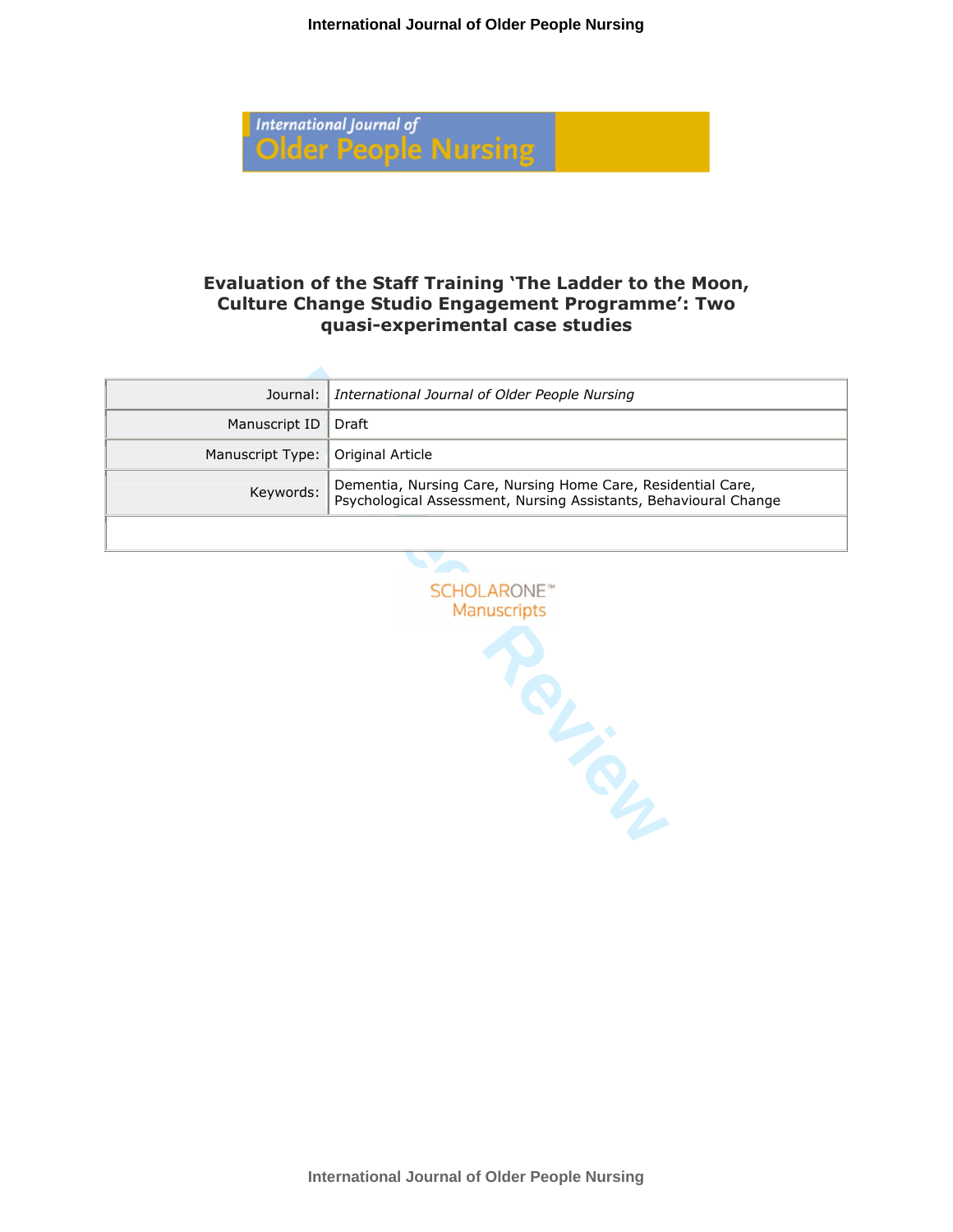**International Journal of Older People Nursing**



# **Evaluation of the Staff Training 'The Ladder to the Moon, Culture Change Studio Engagement Programme': Two quasi-experimental case studies**

|                                     | Journal:   International Journal of Older People Nursing                                                                         |
|-------------------------------------|----------------------------------------------------------------------------------------------------------------------------------|
| Manuscript ID   Draft               |                                                                                                                                  |
| Manuscript Type:   Original Article |                                                                                                                                  |
| Keywords:                           | Dementia, Nursing Care, Nursing Home Care, Residential Care,<br>Psychological Assessment, Nursing Assistants, Behavioural Change |
|                                     |                                                                                                                                  |

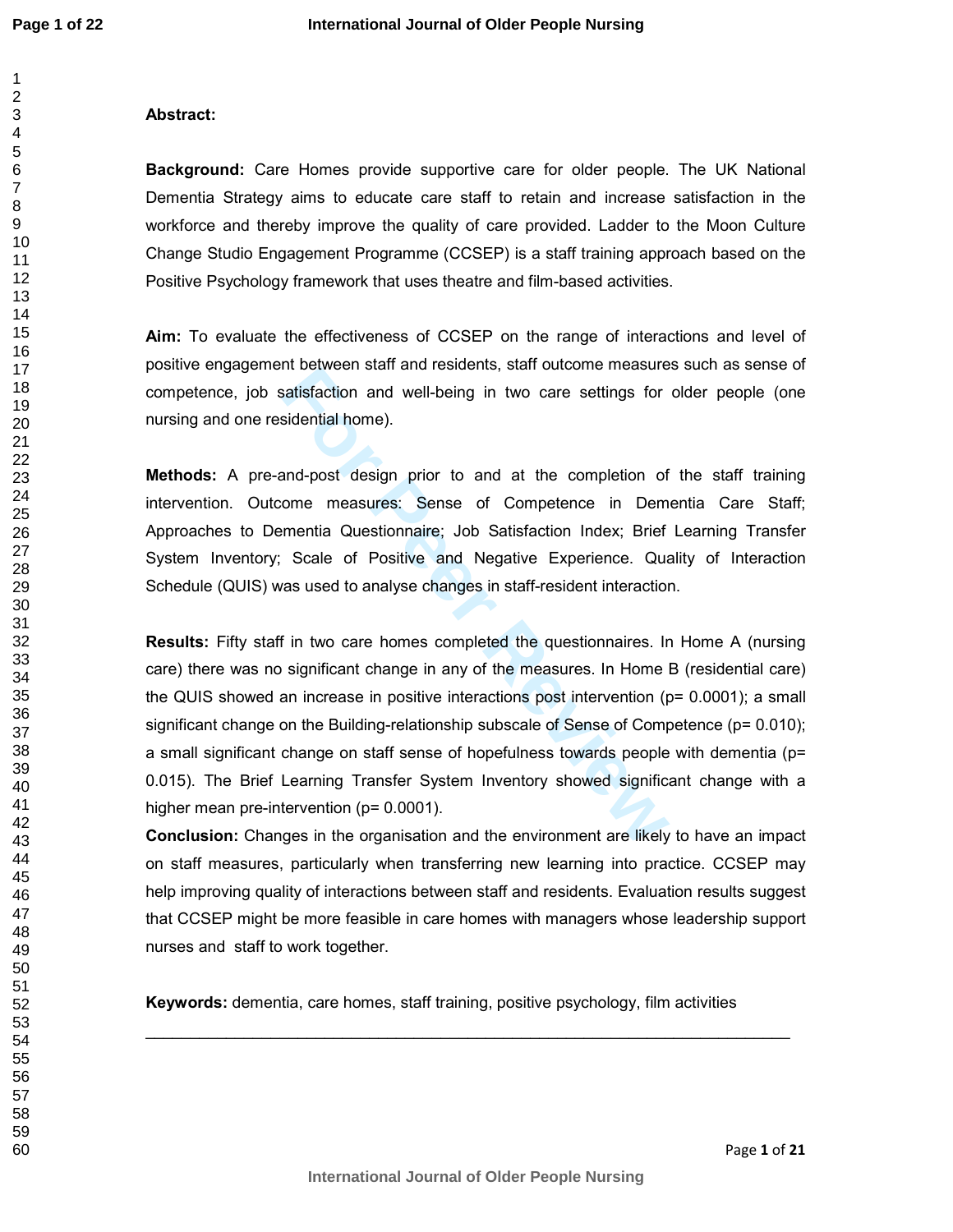$\mathbf{1}$ 

### **Abstract:**

**Background:** Care Homes provide supportive care for older people. The UK National Dementia Strategy aims to educate care staff to retain and increase satisfaction in the workforce and thereby improve the quality of care provided. Ladder to the Moon Culture Change Studio Engagement Programme (CCSEP) is a staff training approach based on the Positive Psychology framework that uses theatre and film-based activities.

**Aim:** To evaluate the effectiveness of CCSEP on the range of interactions and level of positive engagement between staff and residents, staff outcome measures such as sense of competence, job satisfaction and well-being in two care settings for older people (one nursing and one residential home).

**Methods:** A pre-and-post design prior to and at the completion of the staff training intervention. Outcome measures: Sense of Competence in Dementia Care Staff; Approaches to Dementia Questionnaire; Job Satisfaction Index; Brief Learning Transfer System Inventory; Scale of Positive and Negative Experience. Quality of Interaction Schedule (QUIS) was used to analyse changes in staff-resident interaction.

Introducert start and restochts, start outcome measure<br>attisfaction and well-being in two care settings for<br>sidential home).<br>And-post design prior to and at the completion of<br>ome measures: Sense of Competence in Dem<br>mentia **Results:** Fifty staff in two care homes completed the questionnaires. In Home A (nursing care) there was no significant change in any of the measures. In Home B (residential care) the QUIS showed an increase in positive interactions post intervention (p= 0.0001); a small significant change on the Building-relationship subscale of Sense of Competence ( $p= 0.010$ ); a small significant change on staff sense of hopefulness towards people with dementia (p= 0.015). The Brief Learning Transfer System Inventory showed significant change with a higher mean pre-intervention (p= 0.0001).

**Conclusion:** Changes in the organisation and the environment are likely to have an impact on staff measures, particularly when transferring new learning into practice. CCSEP may help improving quality of interactions between staff and residents. Evaluation results suggest that CCSEP might be more feasible in care homes with managers whose leadership support nurses and staff to work together.

**Keywords:** dementia, care homes, staff training, positive psychology, film activities

\_\_\_\_\_\_\_\_\_\_\_\_\_\_\_\_\_\_\_\_\_\_\_\_\_\_\_\_\_\_\_\_\_\_\_\_\_\_\_\_\_\_\_\_\_\_\_\_\_\_\_\_\_\_\_\_\_\_\_\_\_\_\_\_\_\_\_\_\_\_\_\_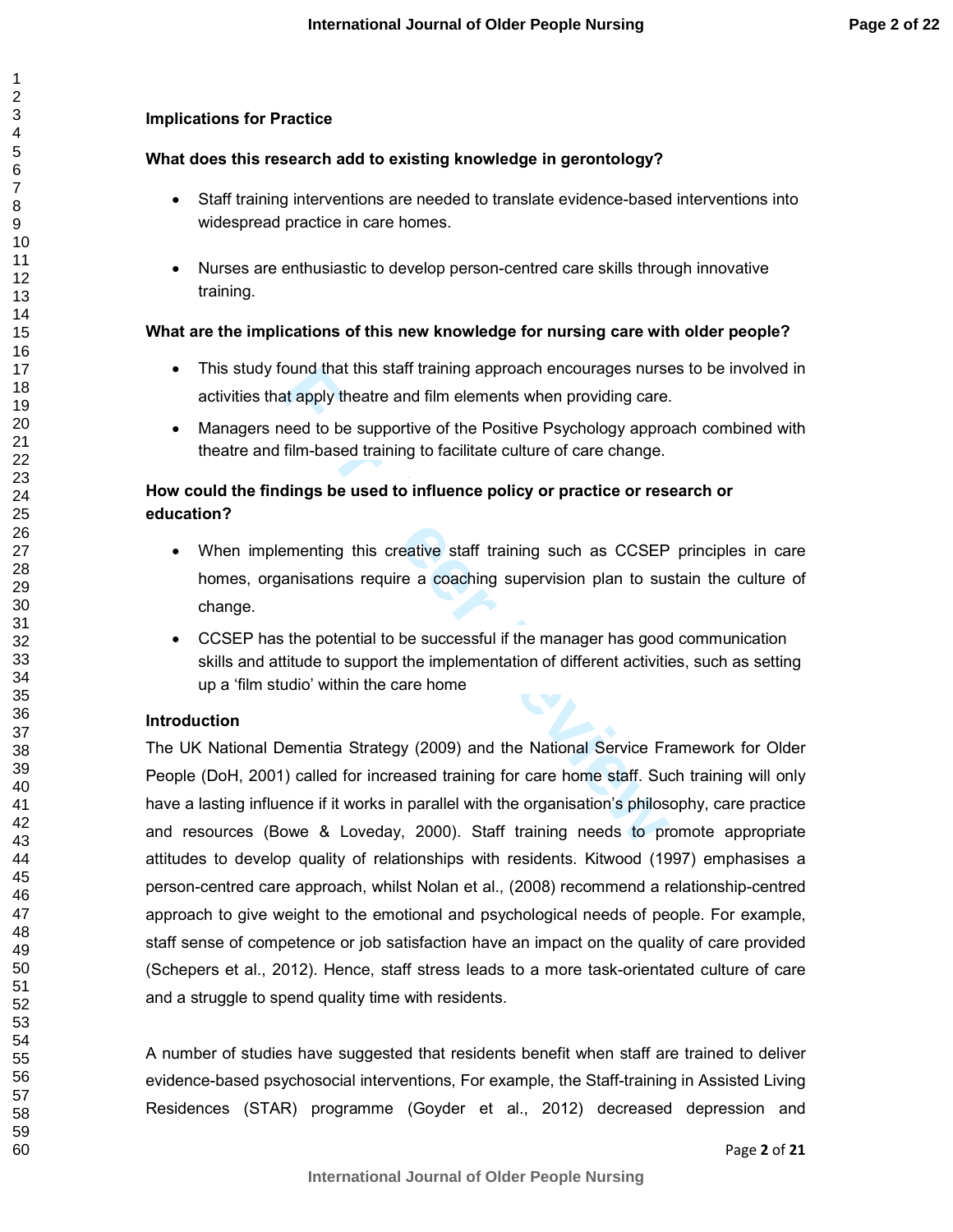### **Implications for Practice**

### **What does this research add to existing knowledge in gerontology?**

- Staff training interventions are needed to translate evidence-based interventions into widespread practice in care homes.
- Nurses are enthusiastic to develop person-centred care skills through innovative training.

### **What are the implications of this new knowledge for nursing care with older people?**

- This study found that this staff training approach encourages nurses to be involved in activities that apply theatre and film elements when providing care.
- Managers need to be supportive of the Positive Psychology approach combined with theatre and film-based training to facilitate culture of care change.

## **How could the findings be used to influence policy or practice or research or education?**

- When implementing this creative staff training such as CCSEP principles in care homes, organisations require a coaching supervision plan to sustain the culture of change.
- CCSEP has the potential to be successful if the manager has good communication skills and attitude to support the implementation of different activities, such as setting up a 'film studio' within the care home

### **Introduction**

ound that this start training approach encourages nurses<br>at apply theatre and film elements when providing care.<br>For Peer Amagnetic of the Positive Psychology appro<br>film-based training to facilitate culture of care change. The UK National Dementia Strategy (2009) and the National Service Framework for Older People (DoH, 2001) called for increased training for care home staff. Such training will only have a lasting influence if it works in parallel with the organisation's philosophy, care practice and resources (Bowe & Loveday, 2000). Staff training needs to promote appropriate attitudes to develop quality of relationships with residents. Kitwood (1997) emphasises a person-centred care approach, whilst Nolan et al., (2008) recommend a relationship-centred approach to give weight to the emotional and psychological needs of people. For example, staff sense of competence or job satisfaction have an impact on the quality of care provided (Schepers et al., 2012). Hence, staff stress leads to a more task-orientated culture of care and a struggle to spend quality time with residents.

A number of studies have suggested that residents benefit when staff are trained to deliver evidence-based psychosocial interventions, For example, the Staff-training in Assisted Living Residences (STAR) programme (Goyder et al., 2012) decreased depression and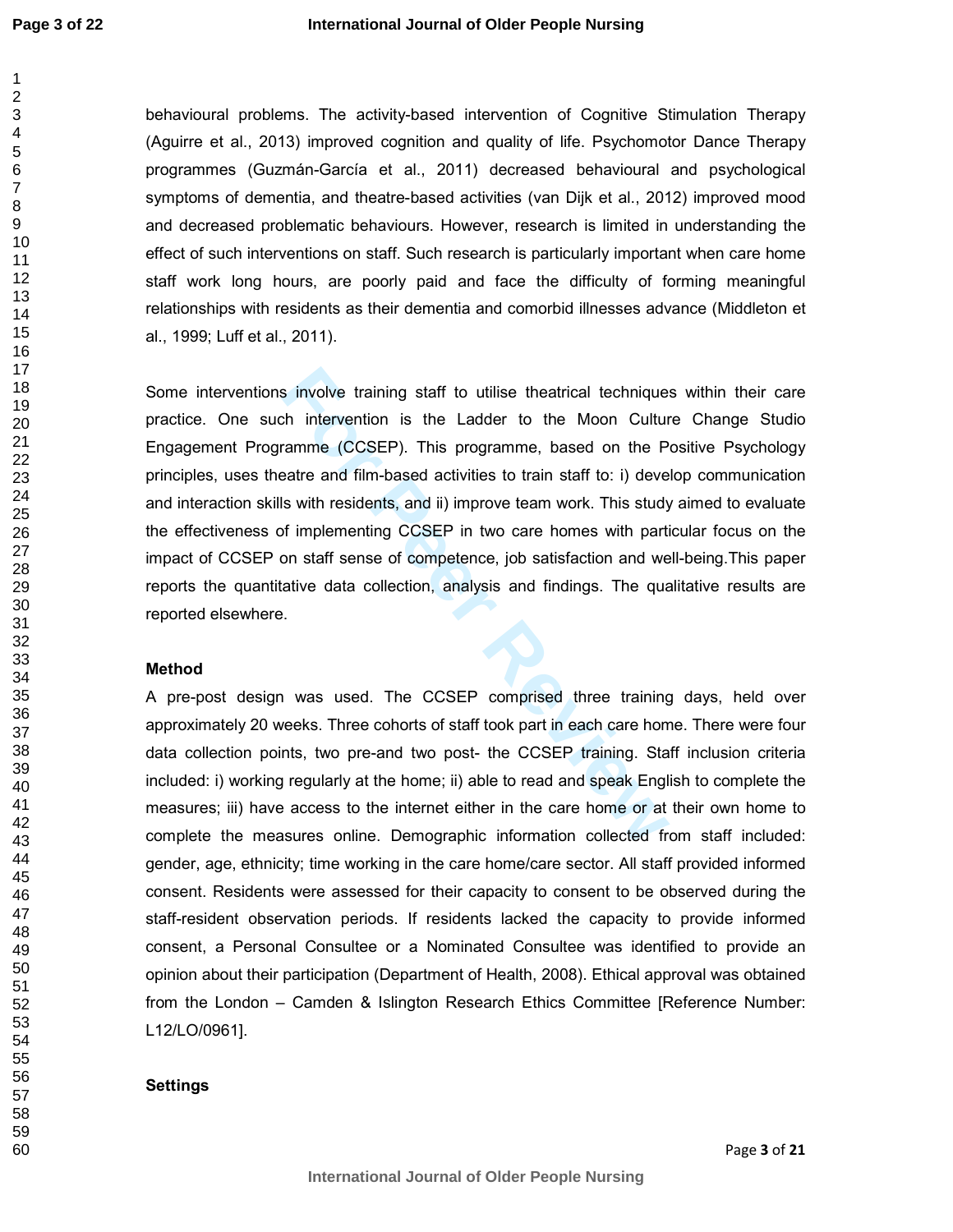behavioural problems. The activity-based intervention of Cognitive Stimulation Therapy (Aguirre et al., 2013) improved cognition and quality of life. Psychomotor Dance Therapy programmes (Guzmán-García et al., 2011) decreased behavioural and psychological symptoms of dementia, and theatre-based activities (van Dijk et al., 2012) improved mood and decreased problematic behaviours. However, research is limited in understanding the effect of such interventions on staff. Such research is particularly important when care home staff work long hours, are poorly paid and face the difficulty of forming meaningful relationships with residents as their dementia and comorbid illnesses advance (Middleton et al., 1999; Luff et al., 2011).

**For Propertion Standary School School School School School School School School School School School School School School School School School School School School School School School School School School School School S** Some interventions involve training staff to utilise theatrical techniques within their care practice. One such intervention is the Ladder to the Moon Culture Change Studio Engagement Programme (CCSEP). This programme, based on the Positive Psychology principles, uses theatre and film-based activities to train staff to: i) develop communication and interaction skills with residents, and ii) improve team work. This study aimed to evaluate the effectiveness of implementing CCSEP in two care homes with particular focus on the impact of CCSEP on staff sense of competence, job satisfaction and well-being.This paper reports the quantitative data collection, analysis and findings. The qualitative results are reported elsewhere.

#### **Method**

A pre-post design was used. The CCSEP comprised three training days, held over approximately 20 weeks. Three cohorts of staff took part in each care home. There were four data collection points, two pre-and two post- the CCSEP training. Staff inclusion criteria included: i) working regularly at the home; ii) able to read and speak English to complete the measures; iii) have access to the internet either in the care home or at their own home to complete the measures online. Demographic information collected from staff included: gender, age, ethnicity; time working in the care home/care sector. All staff provided informed consent. Residents were assessed for their capacity to consent to be observed during the staff-resident observation periods. If residents lacked the capacity to provide informed consent, a Personal Consultee or a Nominated Consultee was identified to provide an opinion about their participation (Department of Health, 2008). Ethical approval was obtained from the London – Camden & Islington Research Ethics Committee [Reference Number: L12/LO/0961].

### **Settings**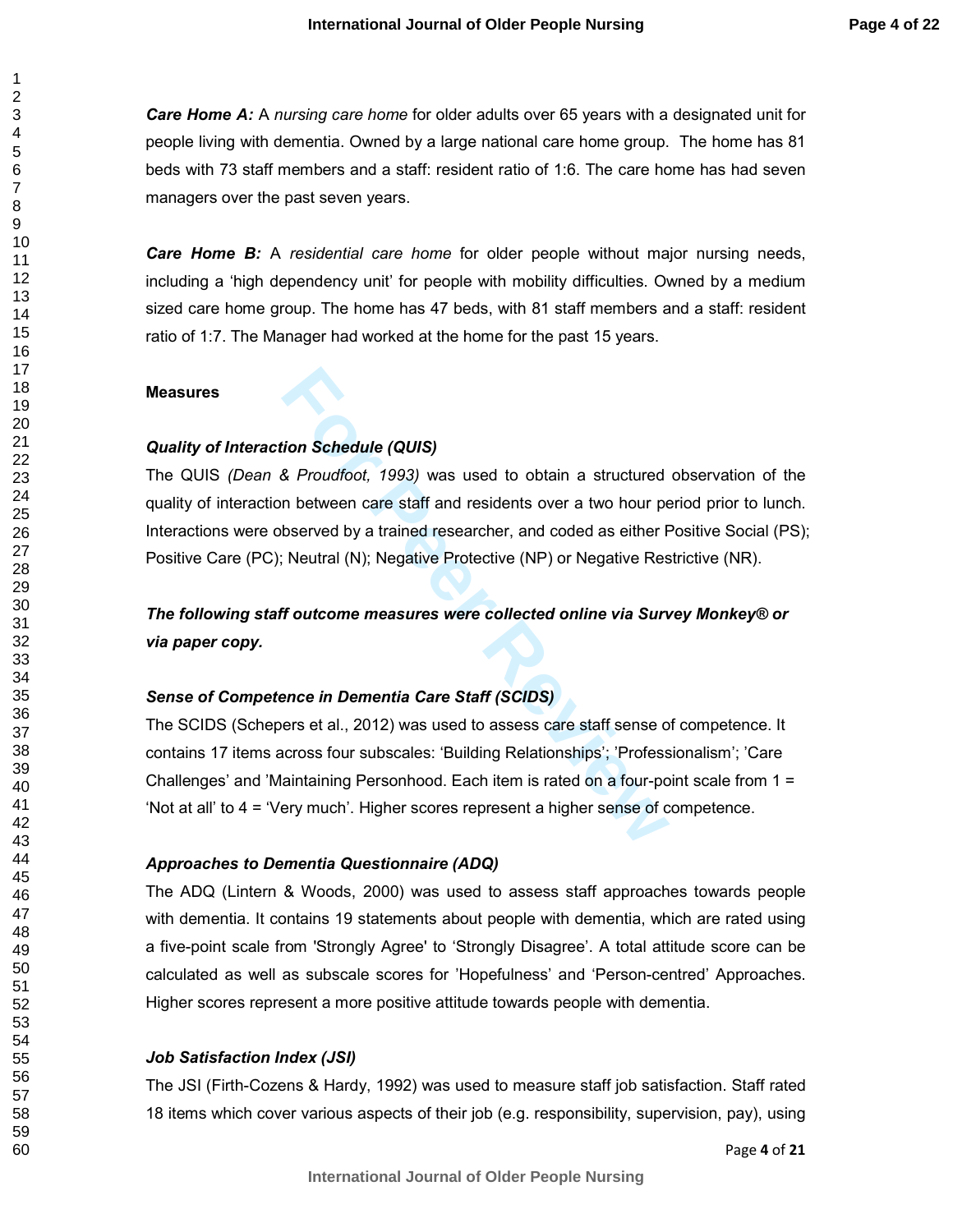*Care Home A:* A *nursing care home* for older adults over 65 years with a designated unit for people living with dementia. Owned by a large national care home group. The home has 81 beds with 73 staff members and a staff: resident ratio of 1:6. The care home has had seven managers over the past seven years.

*Care Home B:* A *residential care home* for older people without major nursing needs, including a 'high dependency unit' for people with mobility difficulties. Owned by a medium sized care home group. The home has 47 beds, with 81 staff members and a staff: resident ratio of 1:7. The Manager had worked at the home for the past 15 years.

#### **Measures**

### *Quality of Interaction Schedule (QUIS)*

**Example 19 Set All Set All Set All Set All Set All Set All Set All Set All Set All Set All Set All Set All Set All Set All Set All Set All Set All Set All Set All Set All Ni; Negative Protective (NP) or Negative Res<br>
<b>Fou** The QUIS *(Dean & Proudfoot, 1993)* was used to obtain a structured observation of the quality of interaction between care staff and residents over a two hour period prior to lunch. Interactions were observed by a trained researcher, and coded as either Positive Social (PS); Positive Care (PC); Neutral (N); Negative Protective (NP) or Negative Restrictive (NR).

*The following staff outcome measures were collected online via Survey Monkey® or via paper copy.* 

#### *Sense of Competence in Dementia Care Staff (SCIDS)*

The SCIDS (Schepers et al., 2012) was used to assess care staff sense of competence. It contains 17 items across four subscales: 'Building Relationships'; 'Professionalism'; 'Care Challenges' and 'Maintaining Personhood. Each item is rated on a four-point scale from 1 = 'Not at all' to 4 = 'Very much'. Higher scores represent a higher sense of competence.

#### *Approaches to Dementia Questionnaire (ADQ)*

The ADQ (Lintern & Woods, 2000) was used to assess staff approaches towards people with dementia. It contains 19 statements about people with dementia, which are rated using a five-point scale from 'Strongly Agree' to 'Strongly Disagree'. A total attitude score can be calculated as well as subscale scores for 'Hopefulness' and 'Person-centred' Approaches. Higher scores represent a more positive attitude towards people with dementia.

#### *Job Satisfaction Index (JSI)*

The JSI (Firth-Cozens & Hardy, 1992) was used to measure staff job satisfaction. Staff rated 18 items which cover various aspects of their job (e.g. responsibility, supervision, pay), using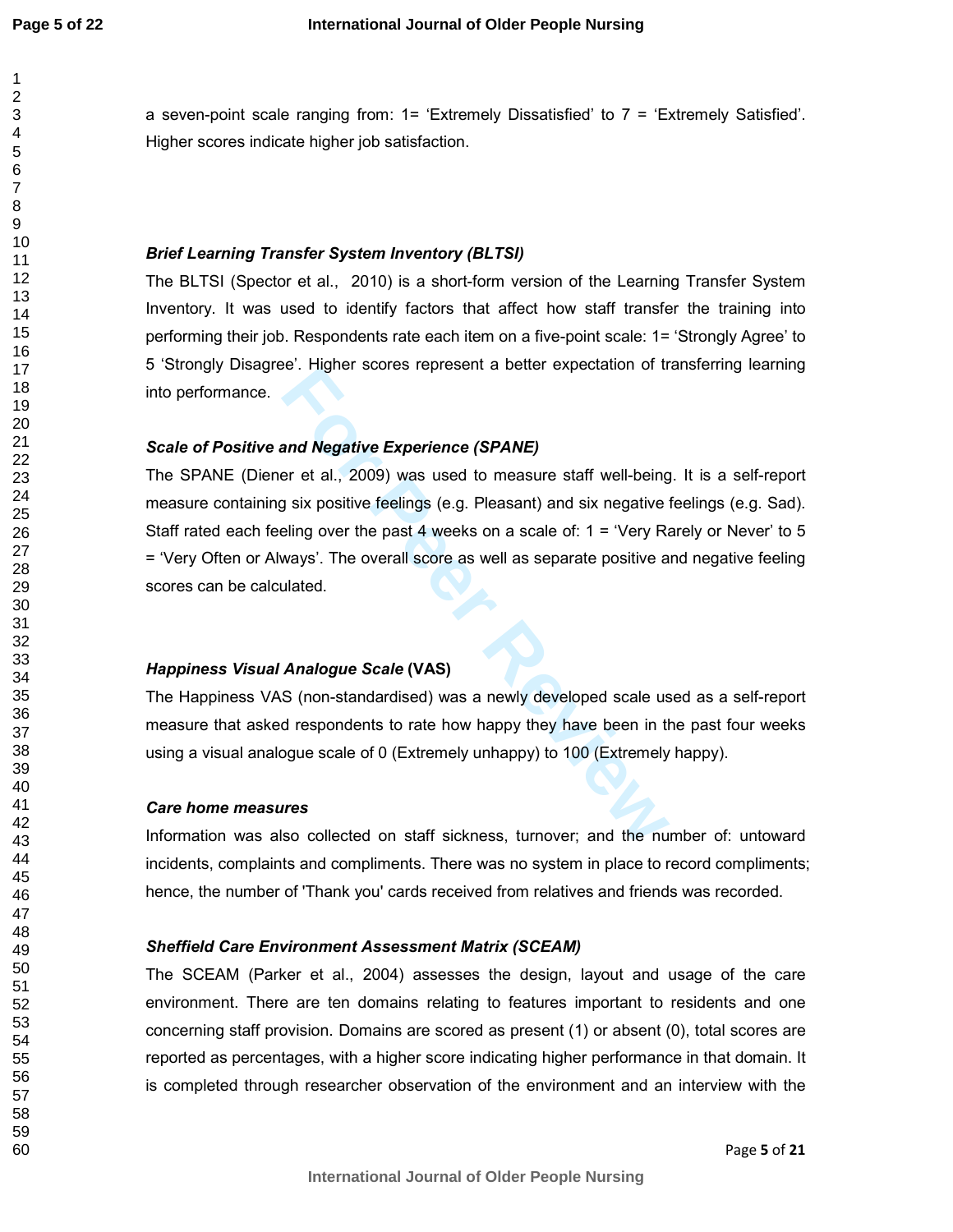a seven-point scale ranging from: 1= 'Extremely Dissatisfied' to 7 = 'Extremely Satisfied'. Higher scores indicate higher job satisfaction.

### *Brief Learning Transfer System Inventory (BLTSI)*

The BLTSI (Spector et al., 2010) is a short-form version of the Learning Transfer System Inventory. It was used to identify factors that affect how staff transfer the training into performing their job. Respondents rate each item on a five-point scale: 1= 'Strongly Agree' to 5 'Strongly Disagree'. Higher scores represent a better expectation of transferring learning into performance.

### *Scale of Positive and Negative Experience (SPANE)*

For Prighter scoles represent a better expectation of the Control of the same of the series (SPANE)<br>For et al., 2009) was used to measure staff well-being<br>g six positive feelings (e.g. Pleasant) and six negative<br>eling over The SPANE (Diener et al., 2009) was used to measure staff well-being. It is a self-report measure containing six positive feelings (e.g. Pleasant) and six negative feelings (e.g. Sad). Staff rated each feeling over the past 4 weeks on a scale of: 1 = 'Very Rarely or Never' to 5 = 'Very Often or Always'. The overall score as well as separate positive and negative feeling scores can be calculated.

### *Happiness Visual Analogue Scale* **(VAS)**

The Happiness VAS (non-standardised) was a newly developed scale used as a self-report measure that asked respondents to rate how happy they have been in the past four weeks using a visual analogue scale of 0 (Extremely unhappy) to 100 (Extremely happy).

#### *Care home measures*

Information was also collected on staff sickness, turnover; and the number of: untoward incidents, complaints and compliments. There was no system in place to record compliments; hence, the number of 'Thank you' cards received from relatives and friends was recorded.

### *Sheffield Care Environment Assessment Matrix (SCEAM)*

The SCEAM (Parker et al., 2004) assesses the design, layout and usage of the care environment. There are ten domains relating to features important to residents and one concerning staff provision. Domains are scored as present (1) or absent (0), total scores are reported as percentages, with a higher score indicating higher performance in that domain. It is completed through researcher observation of the environment and an interview with the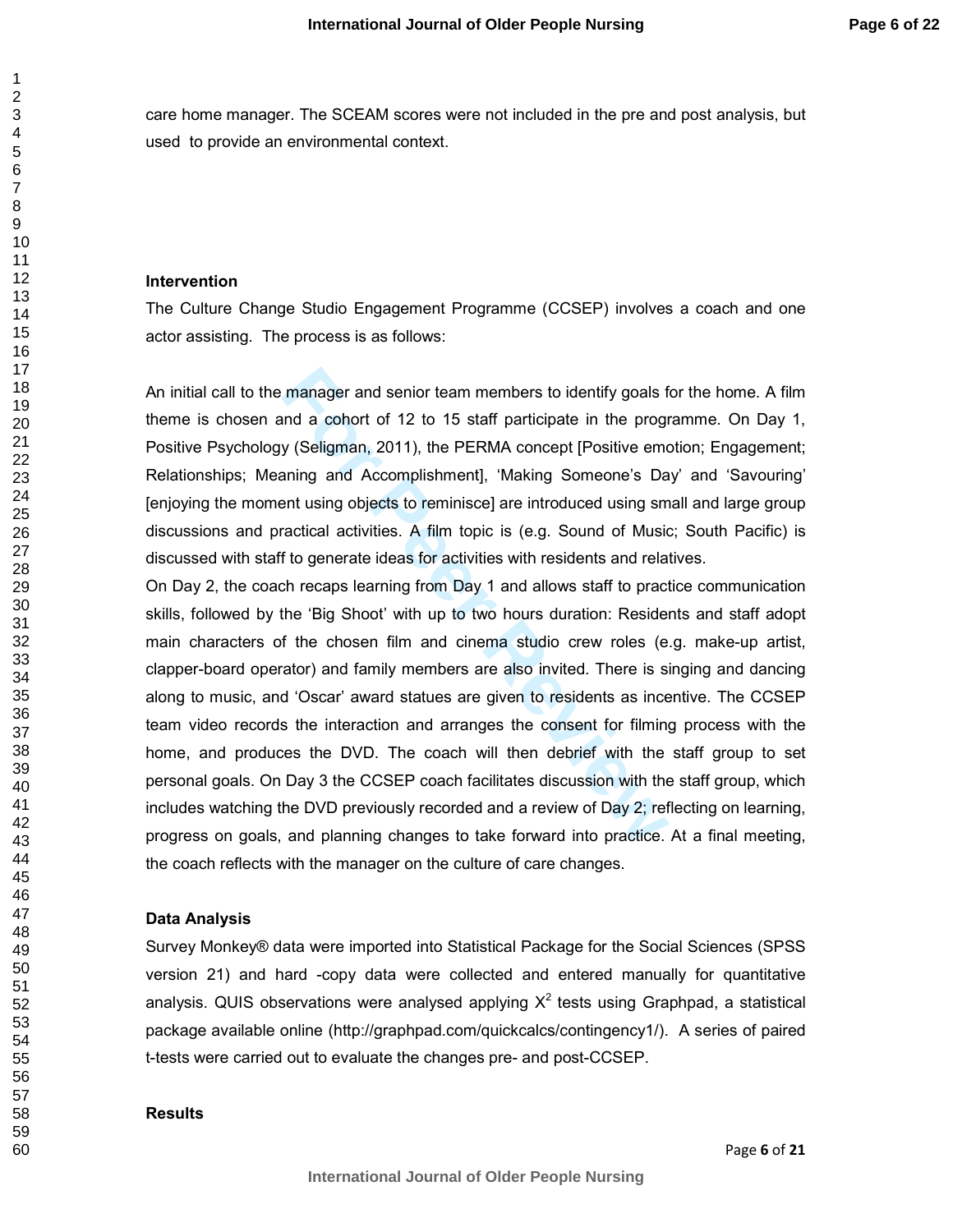care home manager. The SCEAM scores were not included in the pre and post analysis, but used to provide an environmental context.

#### **Intervention**

The Culture Change Studio Engagement Programme (CCSEP) involves a coach and one actor assisting. The process is as follows:

An initial call to the manager and senior team members to identify goals for the home. A film theme is chosen and a cohort of 12 to 15 staff participate in the programme. On Day 1, Positive Psychology (Seligman, 2011), the PERMA concept [Positive emotion; Engagement; Relationships; Meaning and Accomplishment], 'Making Someone's Day' and 'Savouring' [enjoying the moment using objects to reminisce] are introduced using small and large group discussions and practical activities. A film topic is (e.g. Sound of Music; South Pacific) is discussed with staff to generate ideas for activities with residents and relatives.

manager and senior team members to identify goals field a cohort of 12 to 15 staff participate in the progry (Seligman, 2011), the PERMA concept [Positive emaning and Accomplishment], 'Making Someone's Daent using objects On Day 2, the coach recaps learning from Day 1 and allows staff to practice communication skills, followed by the 'Big Shoot' with up to two hours duration: Residents and staff adopt main characters of the chosen film and cinema studio crew roles (e.g. make-up artist, clapper-board operator) and family members are also invited. There is singing and dancing along to music, and 'Oscar' award statues are given to residents as incentive. The CCSEP team video records the interaction and arranges the consent for filming process with the home, and produces the DVD. The coach will then debrief with the staff group to set personal goals. On Day 3 the CCSEP coach facilitates discussion with the staff group, which includes watching the DVD previously recorded and a review of Day 2; reflecting on learning, progress on goals, and planning changes to take forward into practice. At a final meeting, the coach reflects with the manager on the culture of care changes.

#### **Data Analysis**

Survey Monkey® data were imported into Statistical Package for the Social Sciences (SPSS version 21) and hard -copy data were collected and entered manually for quantitative analysis. QUIS observations were analysed applying  $X^2$  tests using Graphpad, a statistical package available online (http://graphpad.com/quickcalcs/contingency1/). A series of paired t-tests were carried out to evaluate the changes pre- and post-CCSEP.

### **Results**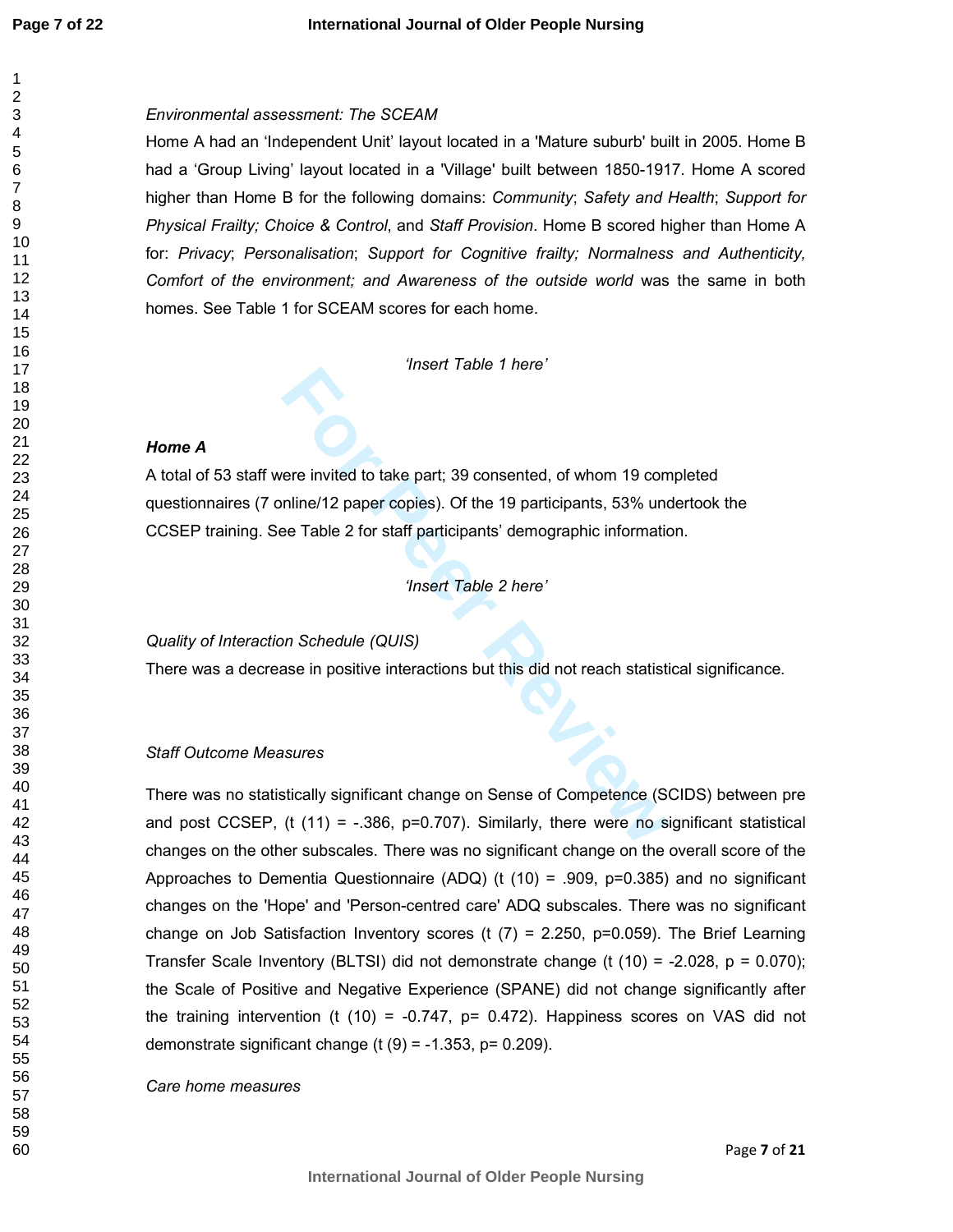### *Environmental assessment: The SCEAM*

Home A had an 'Independent Unit' layout located in a 'Mature suburb' built in 2005. Home B had a 'Group Living' layout located in a 'Village' built between 1850-1917*.* Home A scored higher than Home B for the following domains: *Community*; *Safety and Health*; *Support for Physical Frailty; Choice & Control*, and *Staff Provision*. Home B scored higher than Home A for: *Privacy*; *Personalisation*; *Support for Cognitive frailty; Normalness and Authenticity, Comfort of the environment; and Awareness of the outside world* was the same in both homes. See Table 1 for SCEAM scores for each home.

*'Insert Table 1 here'* 

### *Home A*

France Tricte<br>
France Internet Tricte<br>
For Peer envited to take part; 39 consented, of whom 19 com<br>
Filme (12 paper copies). Of the 19 participants, 53% under<br>
France Table 2 here<br>
Insert Table 2 here<br>
Insert Table 2 here<br> A total of 53 staff were invited to take part; 39 consented, of whom 19 completed questionnaires (7 online/12 paper copies). Of the 19 participants, 53% undertook the CCSEP training. See Table 2 for staff participants' demographic information.

*'Insert Table 2 here'*

*Quality of Interaction Schedule (QUIS)* 

There was a decrease in positive interactions but this did not reach statistical significance.

## *Staff Outcome Measures*

There was no statistically significant change on Sense of Competence (SCIDS) between pre and post CCSEP,  $(t \t(11) = -.386, p=0.707)$ . Similarly, there were no significant statistical changes on the other subscales. There was no significant change on the overall score of the Approaches to Dementia Questionnaire (ADQ) (t (10) = .909, p=0.385) and no significant changes on the 'Hope' and 'Person-centred care' ADQ subscales. There was no significant change on Job Satisfaction Inventory scores (t  $(7)$  = 2.250, p=0.059). The Brief Learning Transfer Scale Inventory (BLTSI) did not demonstrate change (t  $(10) = -2.028$ ,  $p = 0.070$ ); the Scale of Positive and Negative Experience (SPANE) did not change significantly after the training intervention (t  $(10) = -0.747$ , p= 0.472). Happiness scores on VAS did not demonstrate significant change (t  $(9) = -1.353$ ,  $p = 0.209$ ).

*Care home measures*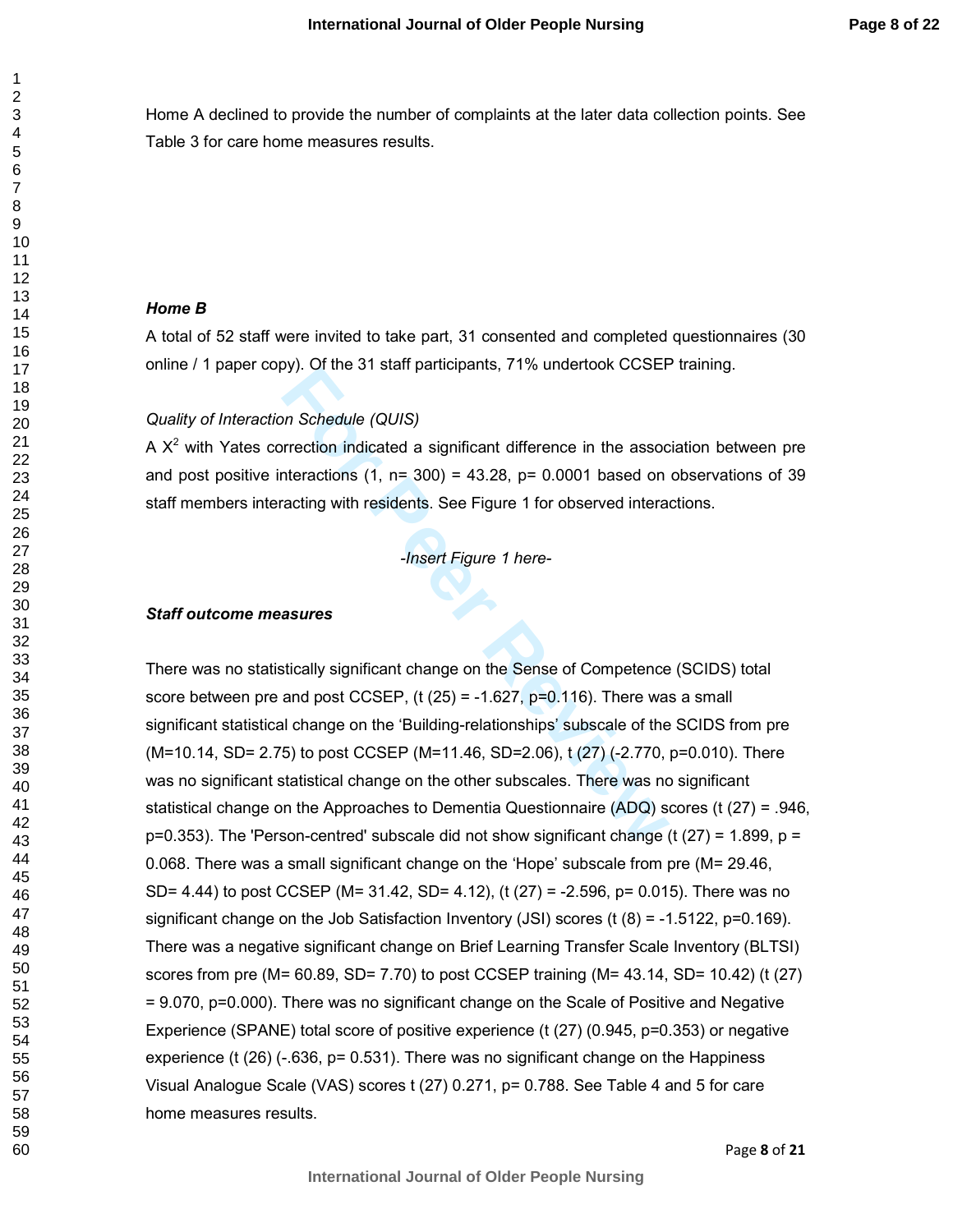Home A declined to provide the number of complaints at the later data collection points. See Table 3 for care home measures results.

### *Home B*

A total of 52 staff were invited to take part, 31 consented and completed questionnaires (30 online / 1 paper copy). Of the 31 staff participants, 71% undertook CCSEP training.

### *Quality of Interaction Schedule (QUIS)*

A  $X<sup>2</sup>$  with Yates correction indicated a significant difference in the association between pre and post positive interactions  $(1, n=300) = 43.28$ , p= 0.0001 based on observations of 39 staff members interacting with residents. See Figure 1 for observed interactions.

*-Insert Figure 1 here-*

#### *Staff outcome measures*

by). Or the 31 stan participants, 71% untertioon OCOLY<br>
Frection indicated a significant difference in the assoc<br>
Interactions (1, n= 300) = 43.28, p= 0.0001 based on<br>
racting with residents. See Figure 1 for observed inte There was no statistically significant change on the Sense of Competence (SCIDS) total score between pre and post CCSEP,  $(t(25) = -1.627, p=0.116)$ . There was a small significant statistical change on the 'Building-relationships' subscale of the SCIDS from pre (M=10.14, SD= 2.75) to post CCSEP (M=11.46, SD=2.06), t (27) (-2.770, p=0.010). There was no significant statistical change on the other subscales. There was no significant statistical change on the Approaches to Dementia Questionnaire (ADQ) scores (t (27) = .946,  $p=0.353$ ). The 'Person-centred' subscale did not show significant change (t (27) = 1.899, p = 0.068. There was a small significant change on the 'Hope' subscale from pre (M= 29.46, SD= 4.44) to post CCSEP (M= 31.42, SD= 4.12), (t (27) = -2.596, p= 0.015). There was no significant change on the Job Satisfaction Inventory (JSI) scores (t  $(8) = -1.5122$ , p=0.169). There was a negative significant change on Brief Learning Transfer Scale Inventory (BLTSI) scores from pre (M= 60.89, SD= 7.70) to post CCSEP training (M= 43.14, SD= 10.42) (t (27) = 9.070, p=0.000). There was no significant change on the Scale of Positive and Negative Experience (SPANE) total score of positive experience (t (27) (0.945, p=0.353) or negative experience (t  $(26)$  ( $-636$ ,  $p= 0.531$ ). There was no significant change on the Happiness Visual Analogue Scale (VAS) scores t (27) 0.271, p= 0.788. See Table 4 and 5 for care home measures results.

 $\mathbf{1}$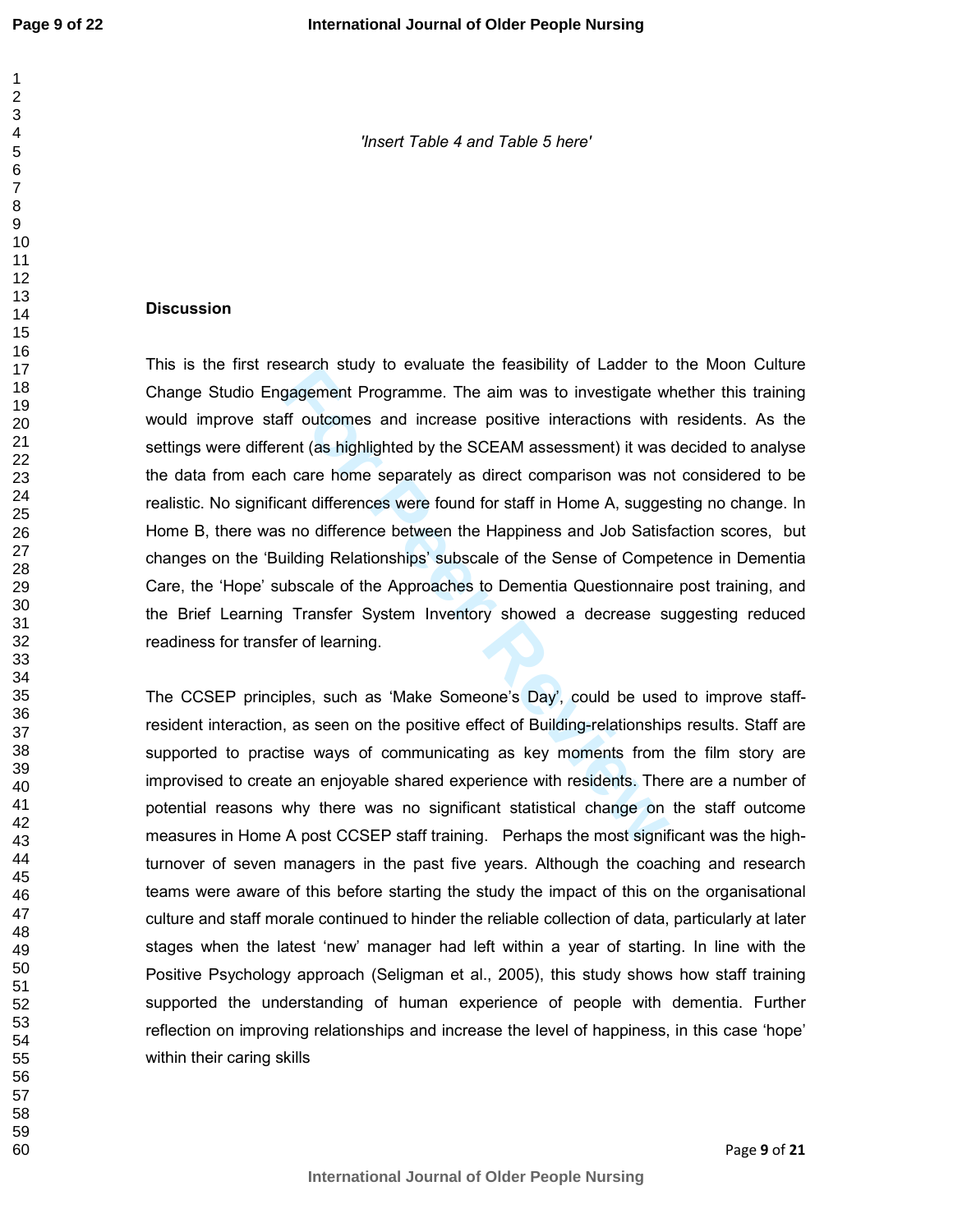$\mathbf{1}$ 

*'Insert Table 4 and Table 5 here'* 

#### **Discussion**

Beatori stady to evaluate the leasibility of Eddoci to<br>gagement Programme. The aim was to investigate wiff outcomes and increase positive interactions with<br>ent (as highlighted by the SCEAM assessment) it was<br>n care home se This is the first research study to evaluate the feasibility of Ladder to the Moon Culture Change Studio Engagement Programme. The aim was to investigate whether this training would improve staff outcomes and increase positive interactions with residents. As the settings were different (as highlighted by the SCEAM assessment) it was decided to analyse the data from each care home separately as direct comparison was not considered to be realistic. No significant differences were found for staff in Home A, suggesting no change. In Home B, there was no difference between the Happiness and Job Satisfaction scores, but changes on the 'Building Relationships' subscale of the Sense of Competence in Dementia Care, the 'Hope' subscale of the Approaches to Dementia Questionnaire post training, and the Brief Learning Transfer System Inventory showed a decrease suggesting reduced readiness for transfer of learning.

The CCSEP principles, such as 'Make Someone's Day', could be used to improve staffresident interaction, as seen on the positive effect of Building-relationships results. Staff are supported to practise ways of communicating as key moments from the film story are improvised to create an enjoyable shared experience with residents. There are a number of potential reasons why there was no significant statistical change on the staff outcome measures in Home A post CCSEP staff training. Perhaps the most significant was the highturnover of seven managers in the past five years. Although the coaching and research teams were aware of this before starting the study the impact of this on the organisational culture and staff morale continued to hinder the reliable collection of data, particularly at later stages when the latest 'new' manager had left within a year of starting. In line with the Positive Psychology approach (Seligman et al., 2005), this study shows how staff training supported the understanding of human experience of people with dementia. Further reflection on improving relationships and increase the level of happiness, in this case 'hope' within their caring skills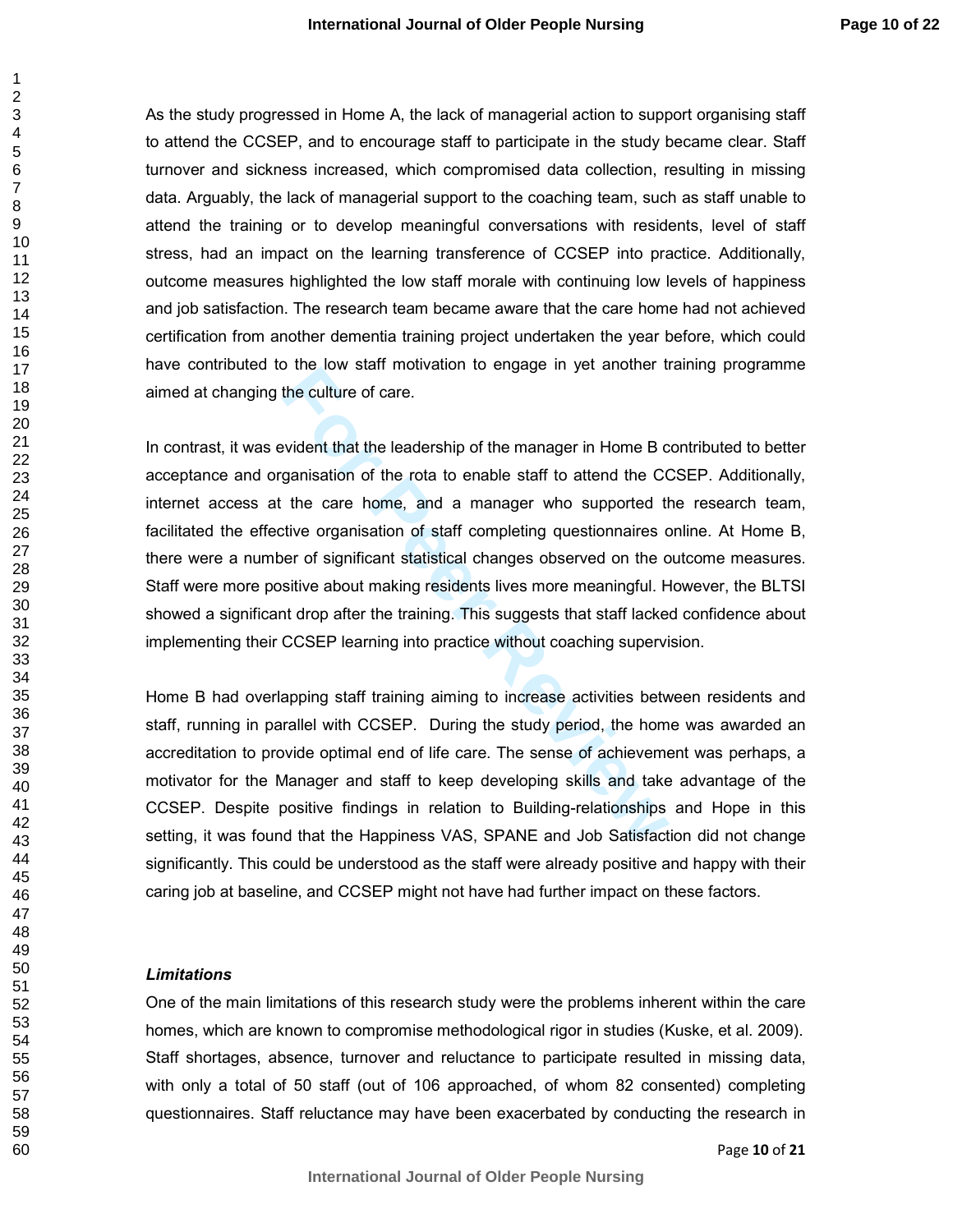As the study progressed in Home A, the lack of managerial action to support organising staff to attend the CCSEP, and to encourage staff to participate in the study became clear. Staff turnover and sickness increased, which compromised data collection, resulting in missing data. Arguably, the lack of managerial support to the coaching team, such as staff unable to attend the training or to develop meaningful conversations with residents, level of staff stress, had an impact on the learning transference of CCSEP into practice. Additionally, outcome measures highlighted the low staff morale with continuing low levels of happiness and job satisfaction. The research team became aware that the care home had not achieved certification from another dementia training project undertaken the year before, which could have contributed to the low staff motivation to engage in yet another training programme aimed at changing the culture of care.

For Principle Intertation of State Individual Congage in yet another the culture of care.<br> **For Principle Intertation of the manager in Home B c** ganisation of the rota to enable staff to attend the CC<br>
the care home, and In contrast, it was evident that the leadership of the manager in Home B contributed to better acceptance and organisation of the rota to enable staff to attend the CCSEP. Additionally, internet access at the care home, and a manager who supported the research team, facilitated the effective organisation of staff completing questionnaires online. At Home B, there were a number of significant statistical changes observed on the outcome measures. Staff were more positive about making residents lives more meaningful. However, the BLTSI showed a significant drop after the training. This suggests that staff lacked confidence about implementing their CCSEP learning into practice without coaching supervision.

Home B had overlapping staff training aiming to increase activities between residents and staff, running in parallel with CCSEP. During the study period, the home was awarded an accreditation to provide optimal end of life care. The sense of achievement was perhaps, a motivator for the Manager and staff to keep developing skills and take advantage of the CCSEP. Despite positive findings in relation to Building-relationships and Hope in this setting, it was found that the Happiness VAS, SPANE and Job Satisfaction did not change significantly. This could be understood as the staff were already positive and happy with their caring job at baseline, and CCSEP might not have had further impact on these factors.

#### *Limitations*

One of the main limitations of this research study were the problems inherent within the care homes, which are known to compromise methodological rigor in studies (Kuske, et al. 2009). Staff shortages, absence, turnover and reluctance to participate resulted in missing data, with only a total of 50 staff (out of 106 approached, of whom 82 consented) completing questionnaires. Staff reluctance may have been exacerbated by conducting the research in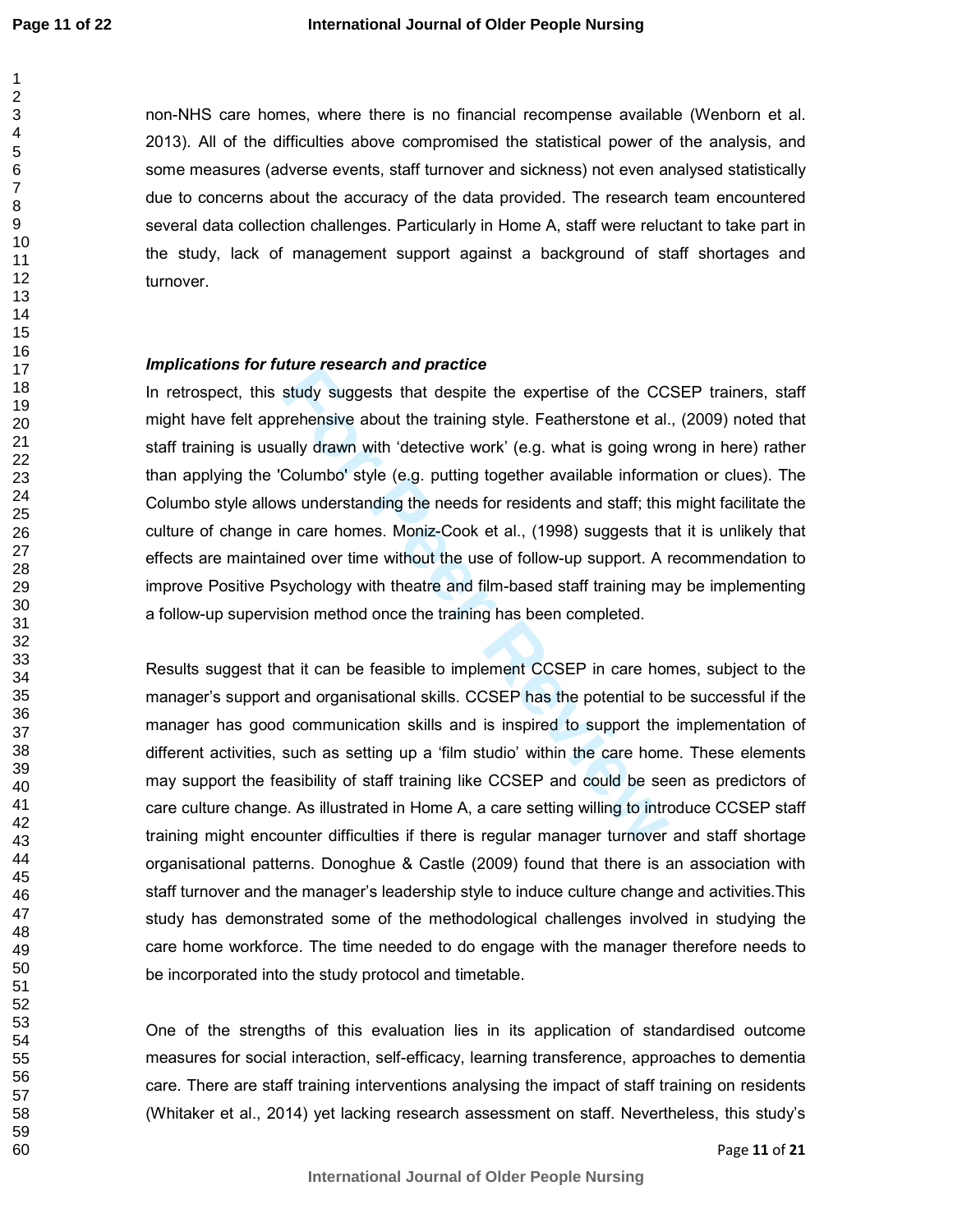non-NHS care homes, where there is no financial recompense available (Wenborn et al. 2013). All of the difficulties above compromised the statistical power of the analysis, and some measures (adverse events, staff turnover and sickness) not even analysed statistically due to concerns about the accuracy of the data provided. The research team encountered several data collection challenges. Particularly in Home A, staff were reluctant to take part in the study, lack of management support against a background of staff shortages and turnover.

#### *Implications for future research and practice*

**Example 18 Start Start All Alt Alt Start Start Start Start Start Start Start Start Start Start Start Start Start Start Start Start Start Start Start Start Start Start Start Start Start Start Start Start Start Start Start** In retrospect, this study suggests that despite the expertise of the CCSEP trainers, staff might have felt apprehensive about the training style. Featherstone et al., (2009) noted that staff training is usually drawn with 'detective work' (e.g. what is going wrong in here) rather than applying the 'Columbo' style (e.g. putting together available information or clues). The Columbo style allows understanding the needs for residents and staff; this might facilitate the culture of change in care homes. Moniz-Cook et al., (1998) suggests that it is unlikely that effects are maintained over time without the use of follow-up support. A recommendation to improve Positive Psychology with theatre and film-based staff training may be implementing a follow-up supervision method once the training has been completed.

Results suggest that it can be feasible to implement CCSEP in care homes, subject to the manager's support and organisational skills. CCSEP has the potential to be successful if the manager has good communication skills and is inspired to support the implementation of different activities, such as setting up a 'film studio' within the care home. These elements may support the feasibility of staff training like CCSEP and could be seen as predictors of care culture change. As illustrated in Home A, a care setting willing to introduce CCSEP staff training might encounter difficulties if there is regular manager turnover and staff shortage organisational patterns. Donoghue & Castle (2009) found that there is an association with staff turnover and the manager's leadership style to induce culture change and activities.This study has demonstrated some of the methodological challenges involved in studying the care home workforce. The time needed to do engage with the manager therefore needs to be incorporated into the study protocol and timetable.

One of the strengths of this evaluation lies in its application of standardised outcome measures for social interaction, self-efficacy, learning transference, approaches to dementia care. There are staff training interventions analysing the impact of staff training on residents (Whitaker et al., 2014) yet lacking research assessment on staff. Nevertheless, this study's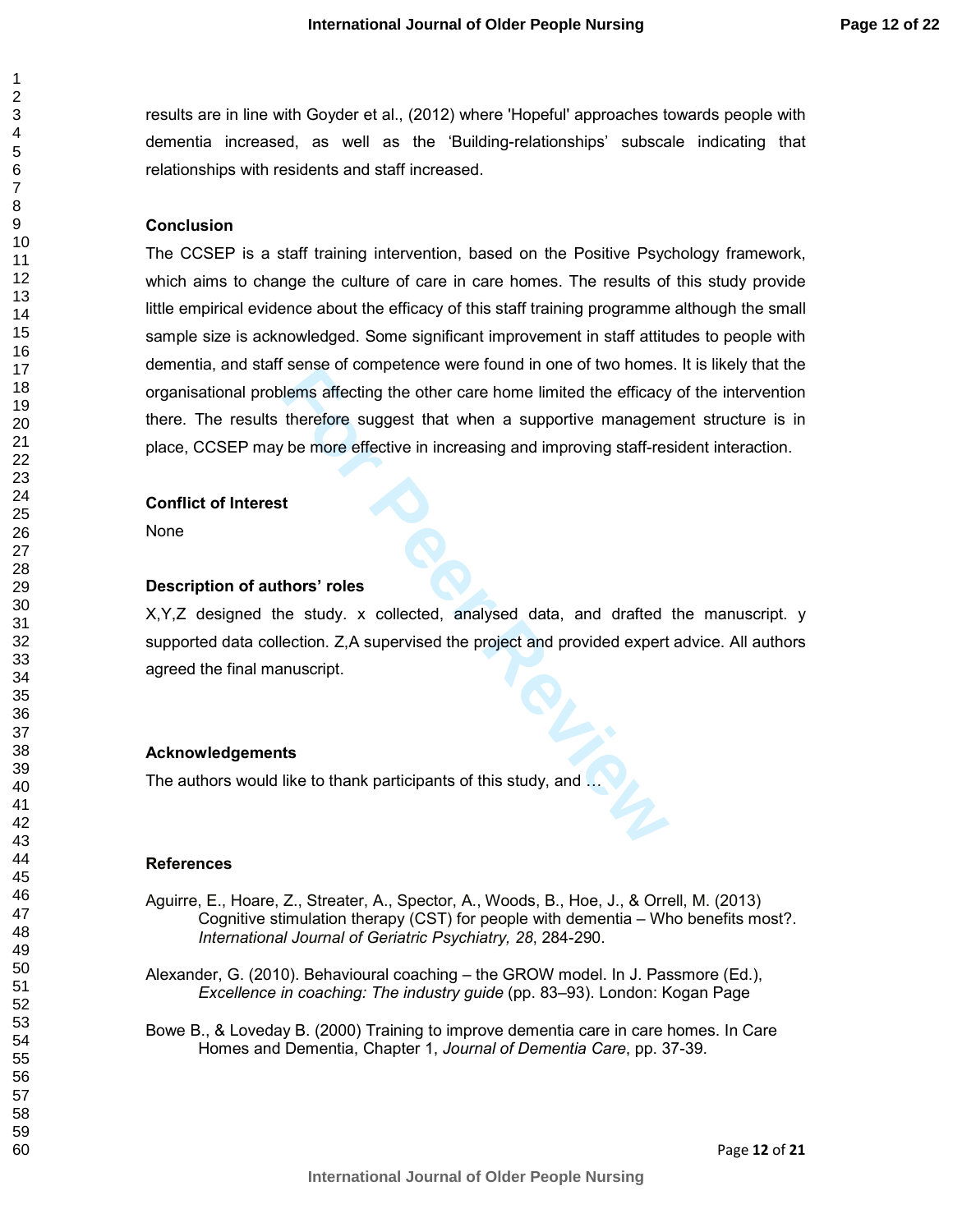results are in line with Goyder et al., (2012) where 'Hopeful' approaches towards people with dementia increased, as well as the 'Building-relationships' subscale indicating that relationships with residents and staff increased.

#### **Conclusion**

For Persons of competence were communitative of two nontesties<br>
Idems affecting the other care home limited the efficacy<br>
therefore suggest that when a supportive managem<br>
ve more effective in increasing and improving staf The CCSEP is a staff training intervention, based on the Positive Psychology framework, which aims to change the culture of care in care homes. The results of this study provide little empirical evidence about the efficacy of this staff training programme although the small sample size is acknowledged. Some significant improvement in staff attitudes to people with dementia, and staff sense of competence were found in one of two homes. It is likely that the organisational problems affecting the other care home limited the efficacy of the intervention there. The results therefore suggest that when a supportive management structure is in place, CCSEP may be more effective in increasing and improving staff-resident interaction.

#### **Conflict of Interest**

None

#### **Description of authors' roles**

X,Y,Z designed the study. x collected, analysed data, and drafted the manuscript. y supported data collection. Z, A supervised the project and provided expert advice. All authors agreed the final manuscript.

#### **Acknowledgements**

The authors would like to thank participants of this study, and ...

#### **References**

- Aguirre, E., Hoare, Z., Streater, A., Spector, A., Woods, B., Hoe, J., & Orrell, M. (2013) Cognitive stimulation therapy (CST) for people with dementia – Who benefits most?. *International Journal of Geriatric Psychiatry, 28*, 284-290.
- Alexander, G. (2010). Behavioural coaching the GROW model. In J. Passmore (Ed.), *Excellence in coaching: The industry guide* (pp. 83–93). London: Kogan Page
- Bowe B., & Loveday B. (2000) Training to improve dementia care in care homes. In Care Homes and Dementia, Chapter 1, *Journal of Dementia Care*, pp. 37-39.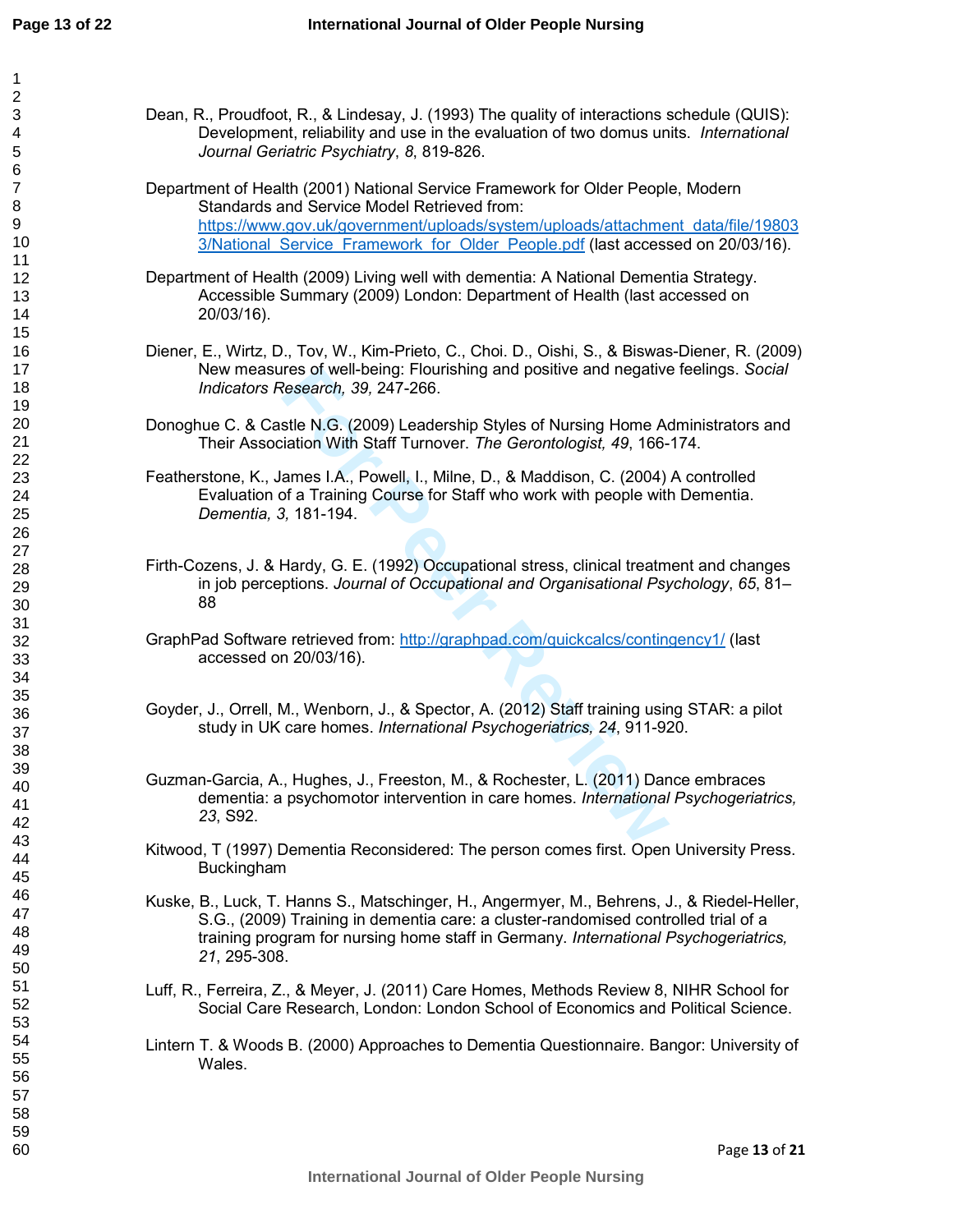| 1              |  |
|----------------|--|
| $\overline{c}$ |  |
|                |  |
|                |  |
|                |  |
|                |  |
|                |  |
|                |  |
|                |  |
|                |  |
|                |  |
|                |  |
|                |  |
|                |  |
|                |  |
|                |  |
|                |  |
|                |  |
|                |  |
|                |  |
|                |  |
|                |  |
|                |  |
|                |  |
|                |  |
|                |  |
|                |  |
|                |  |
|                |  |
|                |  |
|                |  |
| 38             |  |
| --<br>39       |  |
| 40             |  |
| 41<br>42       |  |
| 43             |  |
| 44             |  |
| 45             |  |
| 46             |  |
| 47             |  |
| 48<br>49       |  |
| 50             |  |
| 51             |  |
| 52             |  |
| 53             |  |
| 54<br>55       |  |
| 56             |  |
| 57             |  |
| 58             |  |
| 59             |  |
| 60             |  |

Dean, R., Proudfoot, R., & Lindesay, J. (1993) The quality of interactions schedule (QUIS): Development, reliability and use in the evaluation of two domus units. *International Journal Geriatric Psychiatry*, *8*, 819-826.

Department of Health (2001) National Service Framework for Older People, Modern Standards and Service Model Retrieved from: https://www.gov.uk/government/uploads/system/uploads/attachment\_data/file/19803 3/National Service Framework for Older People.pdf (last accessed on 20/03/16).

Department of Health (2009) Living well with dementia: A National Dementia Strategy. Accessible Summary (2009) London: Department of Health (last accessed on 20/03/16).

- Diener, E., Wirtz, D., Tov, W., Kim-Prieto, C., Choi. D., Oishi, S., & Biswas-Diener, R. (2009) New measures of well-being: Flourishing and positive and negative feelings. *Social Indicators Research, 39,* 247-266.
- Donoghue C. & Castle N.G. (2009) Leadership Styles of Nursing Home Administrators and Their Association With Staff Turnover. *The Gerontologist, 49*, 166-174.

res of well-being: Flourishing and positive and negative<br> **Essearch**, 39, 247-266.<br> **Stele N.G. (2009) Leadership Styles of Nursing Home Actation With Staff Turnover. The Gerontologist, 49, 166-<br>
ames I.A., Powell, I., Mil** Featherstone, K., James I.A., Powell, I., Milne, D., & Maddison, C. (2004) A controlled Evaluation of a Training Course for Staff who work with people with Dementia. *Dementia, 3,* 181-194.

- Firth-Cozens, J. & Hardy, G. E. (1992) Occupational stress, clinical treatment and changes in job perceptions. *Journal of Occupational and Organisational Psychology*, *65*, 81– 88
- GraphPad Software retrieved from: http://graphpad.com/quickcalcs/contingency1/ (last accessed on 20/03/16).
- Goyder, J., Orrell, M., Wenborn, J., & Spector, A. (2012) Staff training using STAR: a pilot study in UK care homes. *International Psychogeriatrics, 24*, 911-920.
- Guzman-Garcia, A., Hughes, J., Freeston, M., & Rochester, L. (2011) Dance embraces dementia: a psychomotor intervention in care homes. *International Psychogeriatrics, 23*, S92.
- Kitwood, T (1997) Dementia Reconsidered: The person comes first. Open University Press. Buckingham
- Kuske, B., Luck, T. Hanns S., Matschinger, H., Angermyer, M., Behrens, J., & Riedel-Heller, S.G., (2009) Training in dementia care: a cluster-randomised controlled trial of a training program for nursing home staff in Germany. *International Psychogeriatrics, 21*, 295-308.
- Luff, R., Ferreira, Z., & Meyer, J. (2011) Care Homes, Methods Review 8, NIHR School for Social Care Research, London: London School of Economics and Political Science.
- Lintern T. & Woods B. (2000) Approaches to Dementia Questionnaire. Bangor: University of Wales.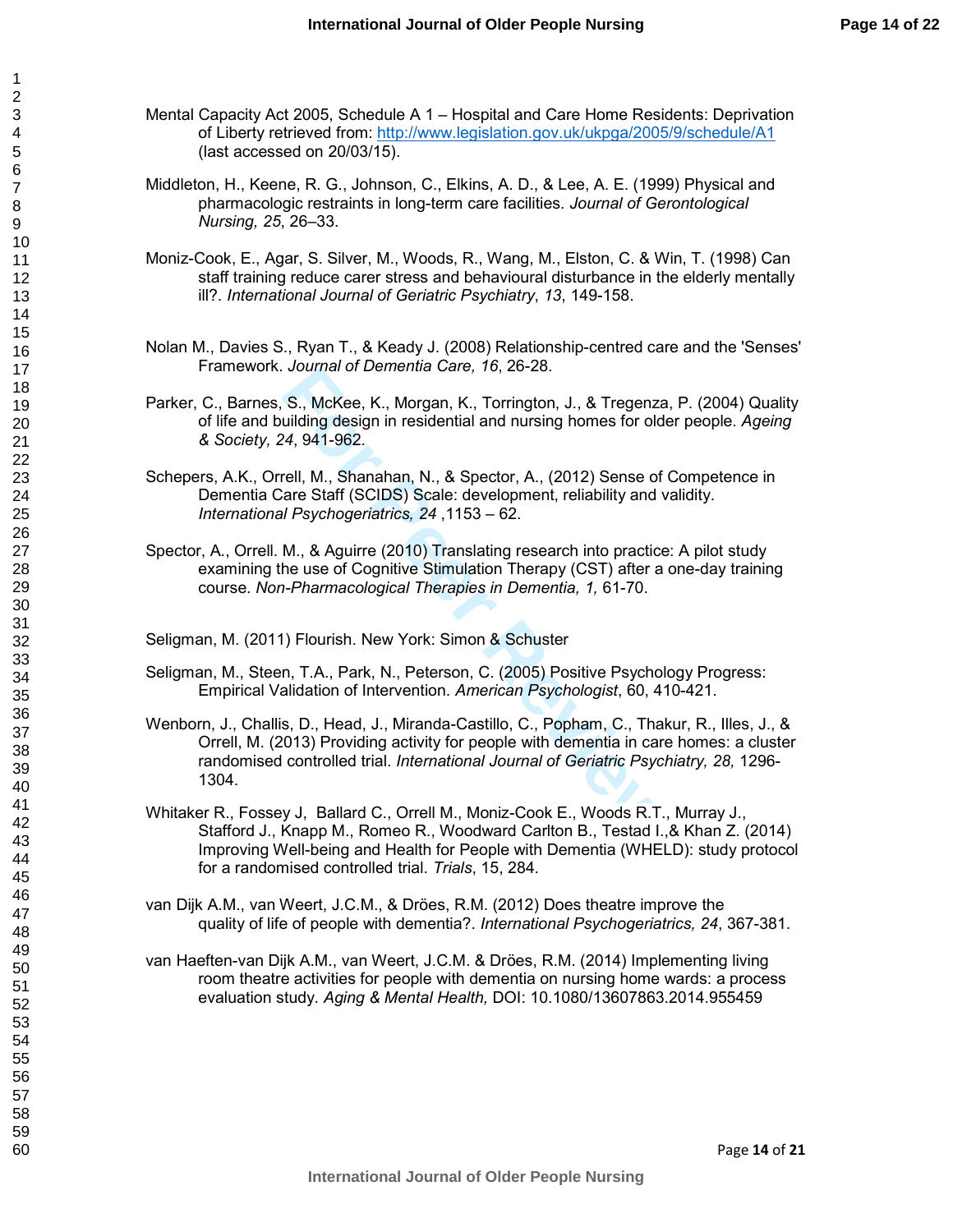$\mathbf{1}$  $\overline{2}$ 

- Mental Capacity Act 2005, Schedule A 1 Hospital and Care Home Residents: Deprivation of Liberty retrieved from: http://www.legislation.gov.uk/ukpga/2005/9/schedule/A1 (last accessed on 20/03/15).
- Middleton, H., Keene, R. G., Johnson, C., Elkins, A. D., & Lee, A. E. (1999) Physical and pharmacologic restraints in long-term care facilities. *Journal of Gerontological Nursing, 25*, 26–33.
- Moniz-Cook, E., Agar, S. Silver, M., Woods, R., Wang, M., Elston, C. & Win, T. (1998) Can staff training reduce carer stress and behavioural disturbance in the elderly mentally ill?. *International Journal of Geriatric Psychiatry*, *13*, 149-158.
- Nolan M., Davies S., Ryan T., & Keady J. (2008) Relationship-centred care and the 'Senses' Framework. *Journal of Dementia Care, 16*, 26-28.
- Parker, C., Barnes, S., McKee, K., Morgan, K., Torrington, J., & Tregenza, P. (2004) Quality of life and building design in residential and nursing homes for older people. *Ageing & Society, 24*, 941-962.
- Schepers, A.K., Orrell, M., Shanahan, N., & Spector, A., (2012) Sense of Competence in Dementia Care Staff (SCIDS) Scale: development, reliability and validity. *International Psychogeriatrics, 24* ,1153 – 62.
- Spector, A., Orrell. M., & Aguirre (2010) Translating research into practice: A pilot study examining the use of Cognitive Stimulation Therapy (CST) after a one-day training course. *Non-Pharmacological Therapies in Dementia, 1,* 61-70.

Seligman, M. (2011) Flourish. New York: Simon & Schuster

- Seligman, M., Steen, T.A., Park, N., Peterson, C. (2005) Positive Psychology Progress: Empirical Validation of Intervention. *American Psychologist*, 60, 410-421.
- **Formal of Definitional Care, 10, 20-20.**<br> **S., McKee, K., Morgan, K., Torrington, J., & Tregenza**<br>
suilding design in residential and nursing homes for olde<br>
44, 941-962.<br> **Fell, M., Shanahan, N., & Spector, A., (2012) Se** Wenborn, J., Challis, D., Head, J., Miranda-Castillo, C., Popham, C., Thakur, R., Illes, J., & Orrell, M. (2013) Providing activity for people with dementia in care homes: a cluster randomised controlled trial. *International Journal of Geriatric Psychiatry, 28,* 1296- 1304.
- Whitaker R., Fossey J, Ballard C., Orrell M., Moniz-Cook E., Woods R.T., Murray J., Stafford J., Knapp M., Romeo R., Woodward Carlton B., Testad I.,& Khan Z. (2014) Improving Well-being and Health for People with Dementia (WHELD): study protocol for a randomised controlled trial. *Trials*, 15, 284.
- van Dijk A.M., van Weert, J.C.M., & Dröes, R.M. (2012) Does theatre improve the quality of life of people with dementia?. *International Psychogeriatrics, 24*, 367-381.
- van Haeften-van Dijk A.M., van Weert, J.C.M. & Dröes, R.M. (2014) Implementing living room theatre activities for people with dementia on nursing home wards: a process evaluation study. *Aging & Mental Health,* DOI: 10.1080/13607863.2014.955459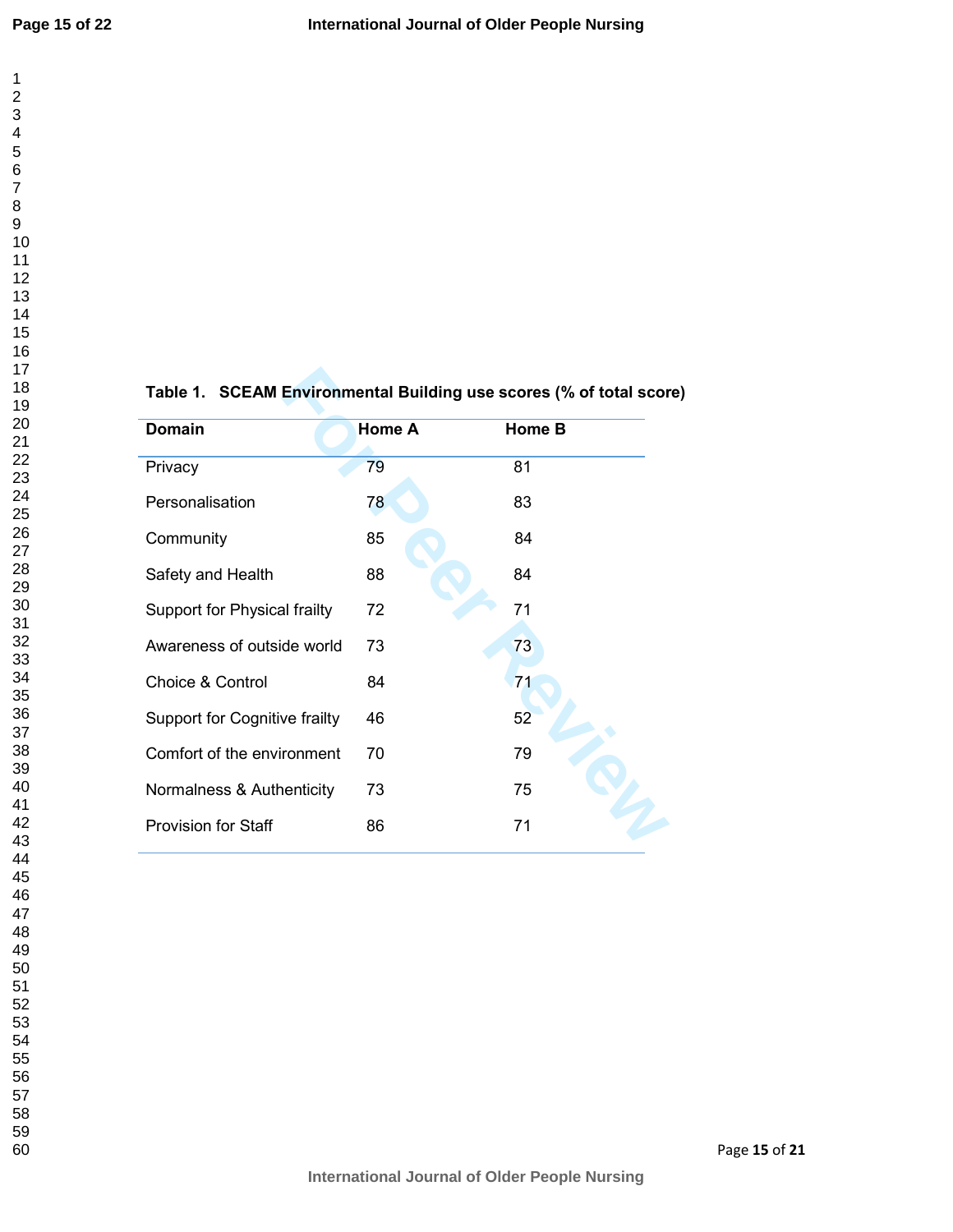$\mathbf{1}$ 

| 1              |  |
|----------------|--|
| $\overline{c}$ |  |
|                |  |
|                |  |
|                |  |
|                |  |
|                |  |
|                |  |
|                |  |
|                |  |
|                |  |
|                |  |
|                |  |
|                |  |
|                |  |
|                |  |
|                |  |
|                |  |
|                |  |
|                |  |
|                |  |
|                |  |
|                |  |
|                |  |
|                |  |
|                |  |
|                |  |
|                |  |
|                |  |
|                |  |
|                |  |
|                |  |
|                |  |
|                |  |
|                |  |
|                |  |
|                |  |
|                |  |
|                |  |
|                |  |
|                |  |
|                |  |
|                |  |
| 39             |  |
|                |  |
| 40             |  |
| 41             |  |
| 42             |  |
| 43             |  |
| 44             |  |
| 45             |  |
| 46             |  |
|                |  |
| 47             |  |
| 48             |  |
| 49             |  |
| 50             |  |
| 51             |  |
| .<br>52        |  |
| 53             |  |
|                |  |
| 54             |  |
| 55             |  |
| 56             |  |
| 57             |  |
| 58             |  |
| 59             |  |
|                |  |

# **Table 1. SCEAM Environmental Building use scores (% of total score)**

| Table 1. SCEAM Environmental Building use scores (% of total scor |        |        |
|-------------------------------------------------------------------|--------|--------|
| <b>Domain</b>                                                     | Home A | Home B |
| Privacy                                                           | 79     | 81     |
| Personalisation                                                   | 78     | 83     |
| Community                                                         | 85     | 84     |
| Safety and Health                                                 | 88     | 84     |
| Support for Physical frailty                                      | 72     | 71     |
| Awareness of outside world                                        | 73     | 73     |
| Choice & Control                                                  | 84     | 71     |
| Support for Cognitive frailty                                     | 46     | 52     |
| Comfort of the environment                                        | 70     | 79     |
| Normalness & Authenticity                                         | 73     | 75     |
| <b>Provision for Staff</b>                                        | 86     | 71     |
|                                                                   |        |        |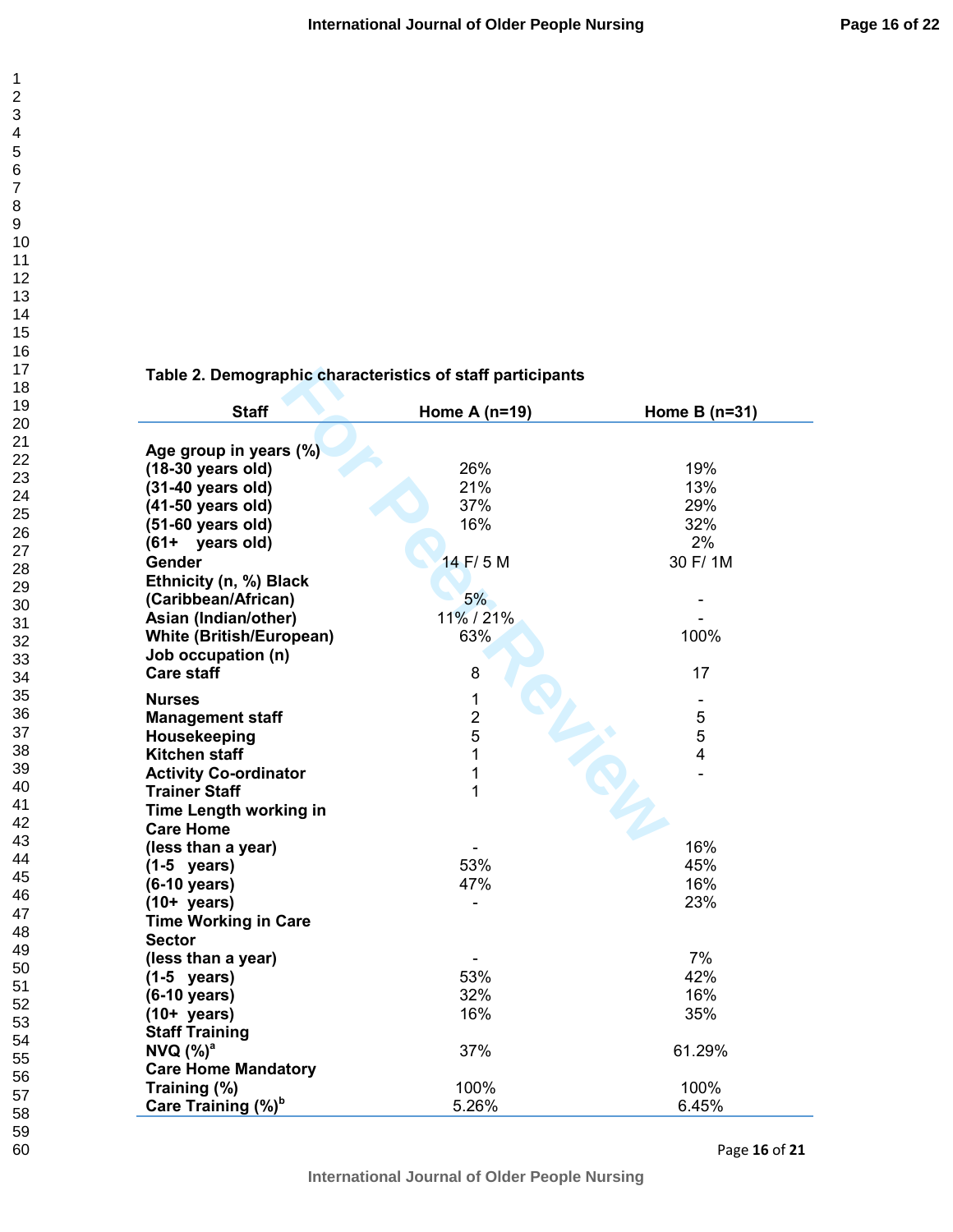### **Table 2. Demographic characteristics of staff participants**

| <b>Staff</b>                    | Home A $(n=19)$ | Home $B(n=31)$ |
|---------------------------------|-----------------|----------------|
|                                 |                 |                |
| Age group in years (%)          |                 |                |
| $(18-30 \text{ years old})$     | 26%             | 19%            |
| $(31-40$ years old)             | 21%             | 13%            |
| $(41-50$ years old)             | 37%             | 29%            |
| $(51-60 \text{ years old})$     | 16%             | 32%            |
| $(61 + \text{ years old})$      |                 | 2%             |
| Gender                          | 14 F/ 5 M       | 30 F/ 1M       |
| Ethnicity (n, %) Black          |                 |                |
| (Caribbean/African)             | 5%              |                |
| Asian (Indian/other)            | 11% / 21%       |                |
| <b>White (British/European)</b> | 63%             | 100%           |
| Job occupation (n)              |                 |                |
| <b>Care staff</b>               | 8               | 17             |
|                                 |                 |                |
| <b>Nurses</b>                   | $\mathbf 1$     |                |
| <b>Management staff</b>         | $\overline{2}$  | 5              |
| Housekeeping                    | 5               | 5              |
| <b>Kitchen staff</b>            | 1               | $\overline{4}$ |
| <b>Activity Co-ordinator</b>    | 1               |                |
| <b>Trainer Staff</b>            | 1               |                |
| Time Length working in          |                 |                |
| <b>Care Home</b>                |                 |                |
| (less than a year)              |                 | 16%            |
| $(1-5$ years)                   | 53%             | 45%            |
| $(6-10 \text{ years})$          | 47%             | 16%            |
| $(10+ \text{ years})$           |                 | 23%            |
| <b>Time Working in Care</b>     |                 |                |
| <b>Sector</b>                   |                 |                |
| (less than a year)              |                 | 7%             |
| $(1-5 \text{ years})$           | 53%             | 42%            |
| $(6-10 \text{ years})$          | 32%             | 16%            |
| $(10+ \text{ years})$           | 16%             | 35%            |
| <b>Staff Training</b>           |                 |                |
| NVQ $(%)^a$                     | 37%             | 61.29%         |
| <b>Care Home Mandatory</b>      |                 |                |
| Training (%)                    | 100%            | 100%           |
| Care Training (%) <sup>b</sup>  | 5.26%           | 6.45%          |

123456789

 $\mathbf{1}$  $\overline{2}$ 3  $\overline{\mathbf{4}}$ 5 6  $\overline{7}$  $\, 8$ 9

Page **16** of **21**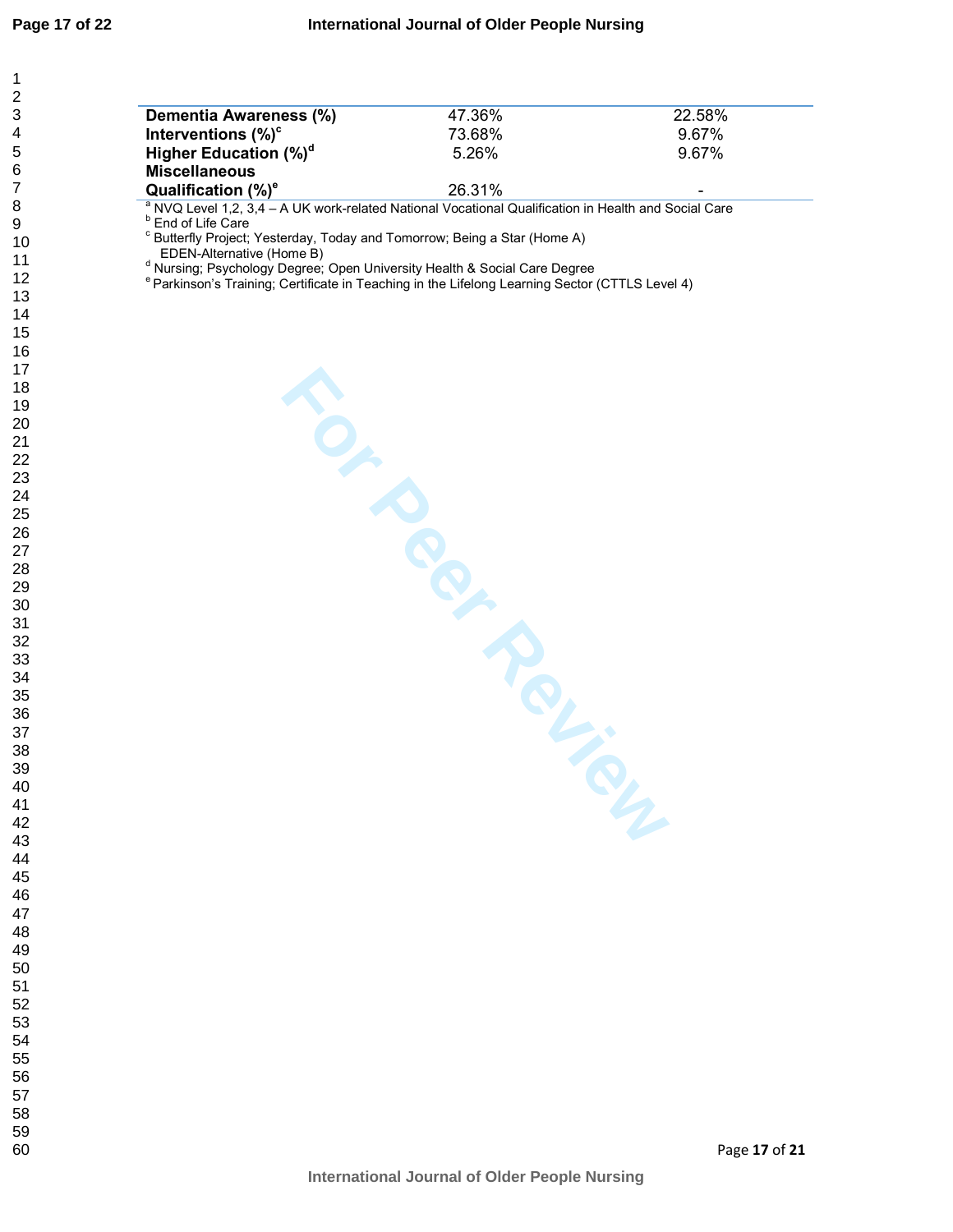| <b>Dementia Awareness (%)</b>                                                                                                                                                                                                                                                                                           | 47.36%         | 22.58% |
|-------------------------------------------------------------------------------------------------------------------------------------------------------------------------------------------------------------------------------------------------------------------------------------------------------------------------|----------------|--------|
| Interventions (%) <sup>c</sup>                                                                                                                                                                                                                                                                                          | 73.68%         | 9.67%  |
| Higher Education (%) <sup>d</sup>                                                                                                                                                                                                                                                                                       | 5.26%          | 9.67%  |
| <b>Miscellaneous</b>                                                                                                                                                                                                                                                                                                    |                |        |
| Qualification (%) <sup>e</sup>                                                                                                                                                                                                                                                                                          | 26.31%         |        |
| <sup>a</sup> NVQ Level 1,2, 3,4 – A UK work-related National Vocational Qualification in Health and Social Care<br><sup>b</sup> End of Life Care                                                                                                                                                                        |                |        |
| <sup>c</sup> Butterfly Project; Yesterday, Today and Tomorrow; Being a Star (Home A)<br>EDEN-Alternative (Home B)<br><sup>d</sup> Nursing; Psychology Degree; Open University Health & Social Care Degree<br><sup>e</sup> Parkinson's Training; Certificate in Teaching in the Lifelong Learning Sector (CTTLS Level 4) |                |        |
|                                                                                                                                                                                                                                                                                                                         | ion de la regi |        |
|                                                                                                                                                                                                                                                                                                                         |                |        |
|                                                                                                                                                                                                                                                                                                                         |                |        |
|                                                                                                                                                                                                                                                                                                                         |                |        |
|                                                                                                                                                                                                                                                                                                                         |                |        |
|                                                                                                                                                                                                                                                                                                                         |                |        |
|                                                                                                                                                                                                                                                                                                                         |                |        |
|                                                                                                                                                                                                                                                                                                                         |                |        |
|                                                                                                                                                                                                                                                                                                                         |                |        |
|                                                                                                                                                                                                                                                                                                                         |                |        |
|                                                                                                                                                                                                                                                                                                                         |                |        |
|                                                                                                                                                                                                                                                                                                                         |                |        |
|                                                                                                                                                                                                                                                                                                                         |                |        |
|                                                                                                                                                                                                                                                                                                                         |                |        |
|                                                                                                                                                                                                                                                                                                                         |                |        |
|                                                                                                                                                                                                                                                                                                                         |                |        |
|                                                                                                                                                                                                                                                                                                                         |                | ON     |
|                                                                                                                                                                                                                                                                                                                         |                |        |
|                                                                                                                                                                                                                                                                                                                         |                |        |
|                                                                                                                                                                                                                                                                                                                         |                |        |
|                                                                                                                                                                                                                                                                                                                         |                |        |
|                                                                                                                                                                                                                                                                                                                         |                |        |
|                                                                                                                                                                                                                                                                                                                         |                |        |
|                                                                                                                                                                                                                                                                                                                         |                |        |
|                                                                                                                                                                                                                                                                                                                         |                |        |
|                                                                                                                                                                                                                                                                                                                         |                |        |
|                                                                                                                                                                                                                                                                                                                         |                |        |
|                                                                                                                                                                                                                                                                                                                         |                |        |
|                                                                                                                                                                                                                                                                                                                         |                |        |
|                                                                                                                                                                                                                                                                                                                         |                |        |
|                                                                                                                                                                                                                                                                                                                         |                |        |
|                                                                                                                                                                                                                                                                                                                         |                |        |
|                                                                                                                                                                                                                                                                                                                         |                |        |
|                                                                                                                                                                                                                                                                                                                         |                |        |
|                                                                                                                                                                                                                                                                                                                         |                |        |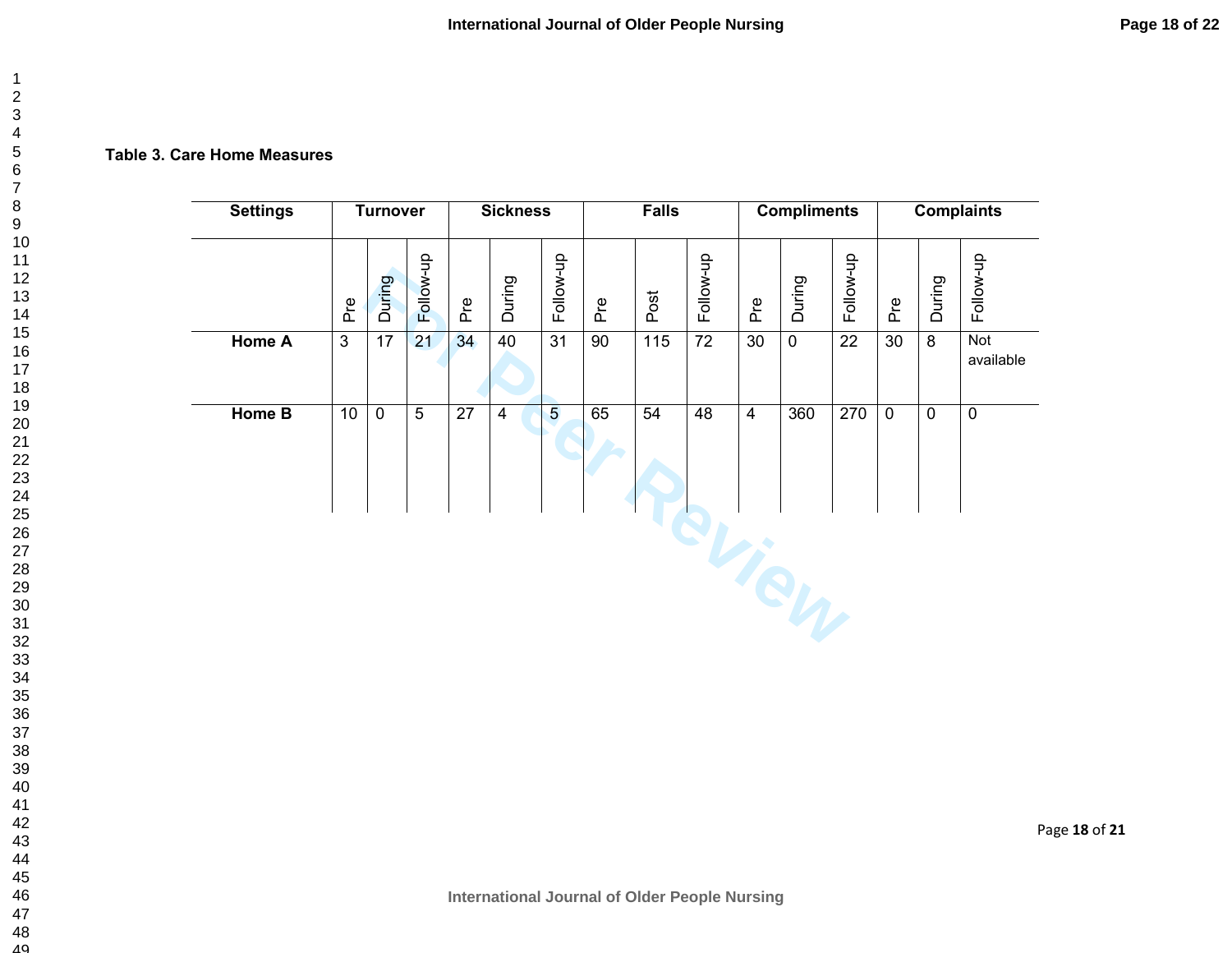### **Table 3. Care Home Measures**

| <b>Settings</b> |                | <b>Turnover</b> |           |     | <b>Sickness</b> |           |     | <b>Falls</b> |           |                | <b>Compliments</b> |           |             |             | <b>Complaints</b>       |
|-----------------|----------------|-----------------|-----------|-----|-----------------|-----------|-----|--------------|-----------|----------------|--------------------|-----------|-------------|-------------|-------------------------|
|                 | Pre            | <b>During</b>   | Follow-up | Pre | During          | Follow-up | Pre | Post         | Follow-up | Pre            | During             | Follow-up | Pre         | During      | Follow-up               |
| <b>Home A</b>   | $\mathfrak{Z}$ | 17              | 21        | 34  | 40              | 31        | 90  | 115          | 72        | 30             | $\mathbf 0$        | 22        | 30          | 8           | <b>Not</b><br>available |
| Home B          | 10             | $\pmb{0}$       | 5         | 27  | $\overline{4}$  | 5         | 65  | 54           | 48        | $\overline{4}$ | 360                | 270       | $\mathbf 0$ | $\mathbf 0$ | $\mathbf 0$             |
|                 |                |                 |           |     |                 |           |     |              |           |                | <b>PW</b>          |           |             |             |                         |

1

Page **18** of **21**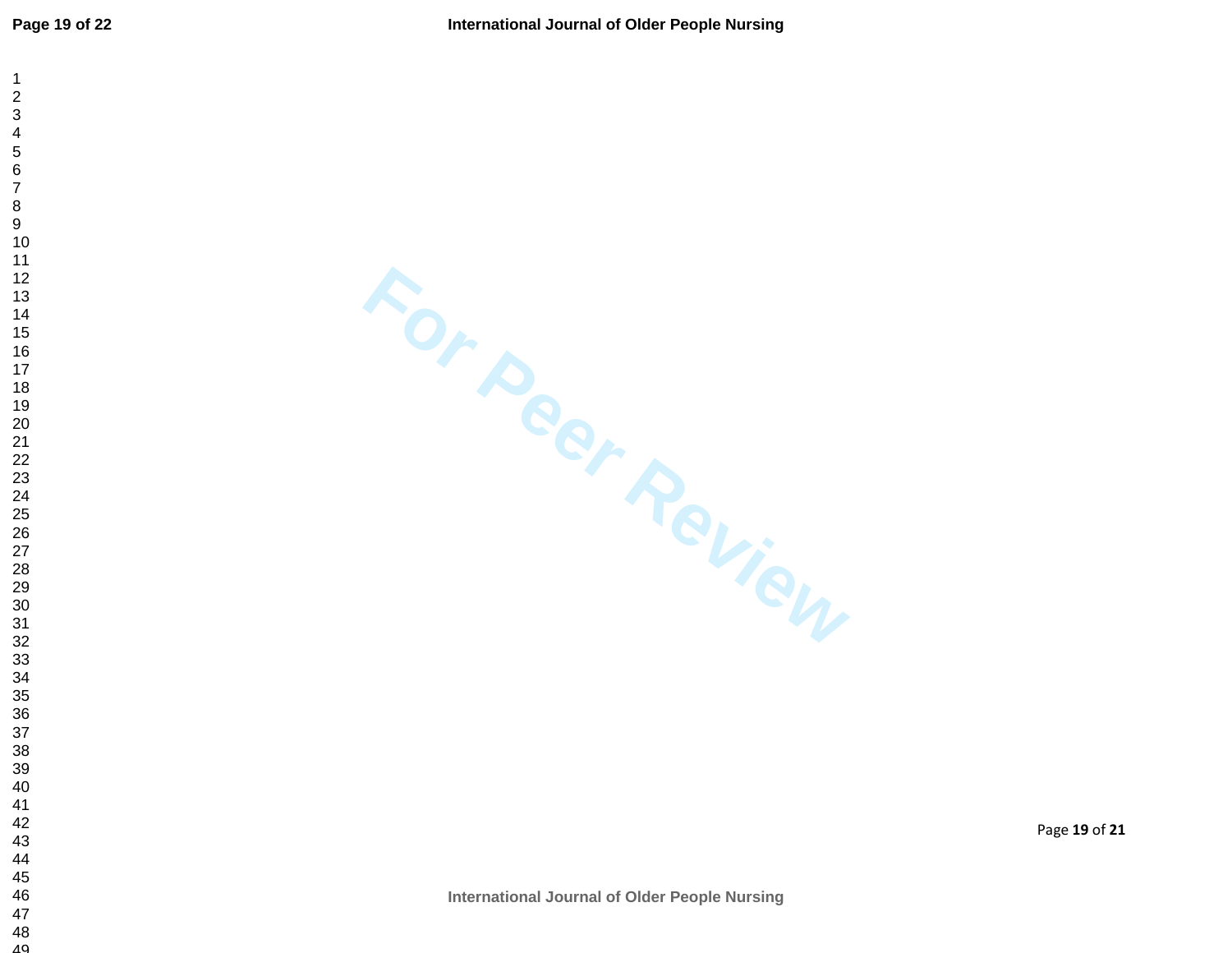Page **19** of **21**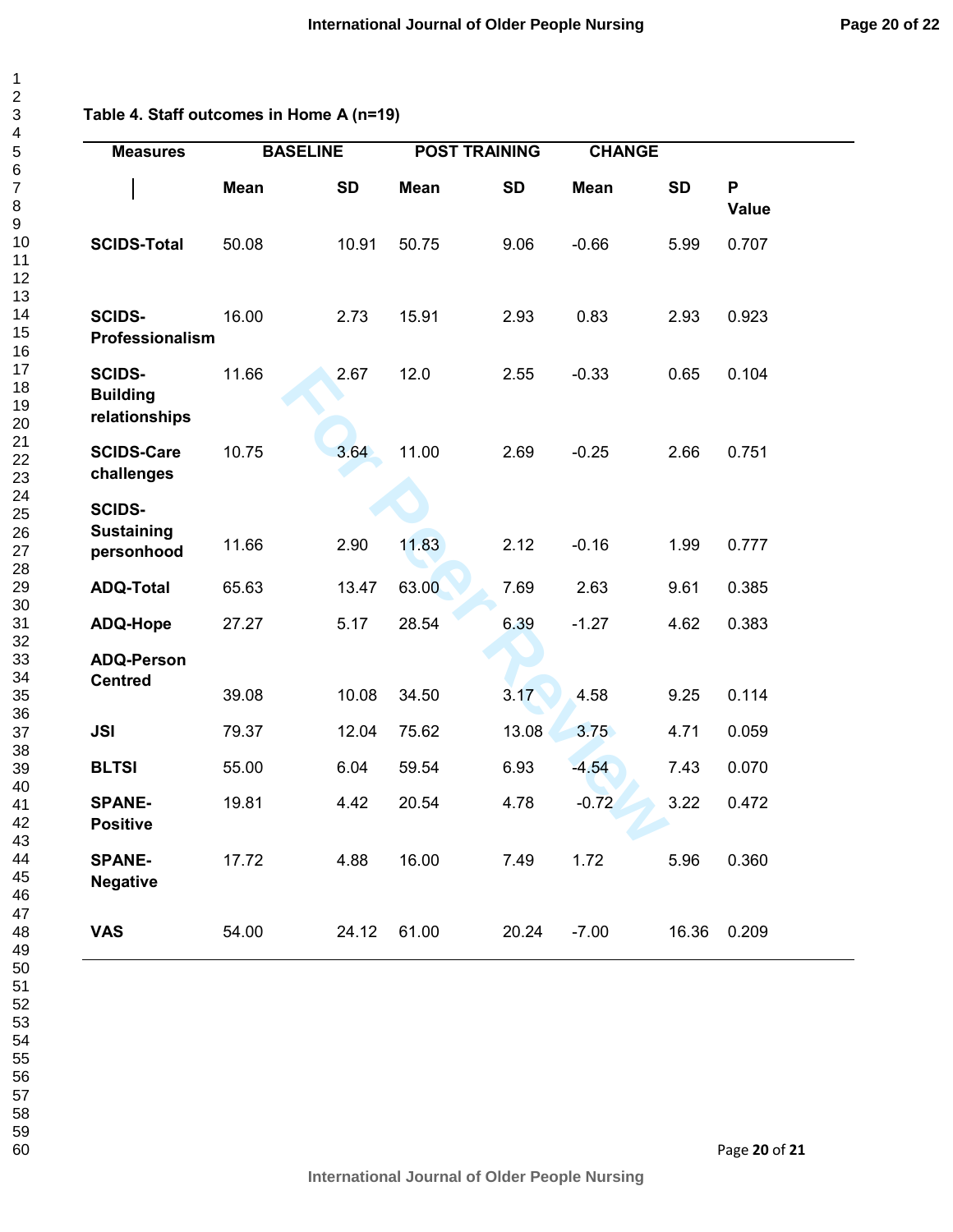# **Table 4. Staff outcomes in Home A (n=19)**

| <b>Measures</b>                                   | <b>BASELINE</b> |           | <b>POST TRAINING</b> |           | <b>CHANGE</b> |           |                   |
|---------------------------------------------------|-----------------|-----------|----------------------|-----------|---------------|-----------|-------------------|
|                                                   | <b>Mean</b>     | <b>SD</b> | <b>Mean</b>          | <b>SD</b> | <b>Mean</b>   | <b>SD</b> | P<br><b>Value</b> |
| <b>SCIDS-Total</b>                                | 50.08           | 10.91     | 50.75                | 9.06      | $-0.66$       | 5.99      | 0.707             |
| <b>SCIDS-</b><br>Professionalism                  | 16.00           | 2.73      | 15.91                | 2.93      | 0.83          | 2.93      | 0.923             |
| <b>SCIDS-</b><br><b>Building</b><br>relationships | 11.66           | 2.67      | 12.0                 | 2.55      | $-0.33$       | 0.65      | 0.104             |
| <b>SCIDS-Care</b><br>challenges                   | 10.75           | 3.64      | 11.00                | 2.69      | $-0.25$       | 2.66      | 0.751             |
| <b>SCIDS-</b>                                     |                 |           |                      |           |               |           |                   |
| <b>Sustaining</b><br>personhood                   | 11.66           | 2.90      | 11.83                | 2.12      | $-0.16$       | 1.99      | 0.777             |
| <b>ADQ-Total</b>                                  | 65.63           | 13.47     | 63.00                | 7.69      | 2.63          | 9.61      | 0.385             |
| <b>ADQ-Hope</b>                                   | 27.27           | 5.17      | 28.54                | 6.39      | $-1.27$       | 4.62      | 0.383             |
| <b>ADQ-Person</b>                                 |                 |           |                      |           |               |           |                   |
| <b>Centred</b>                                    | 39.08           | 10.08     | 34.50                | 3.17      | 4.58          | 9.25      | 0.114             |
| <b>JSI</b>                                        | 79.37           | 12.04     | 75.62                | 13.08     | 3.75          | 4.71      | 0.059             |
| <b>BLTSI</b>                                      | 55.00           | 6.04      | 59.54                | 6.93      | $-4.54$       | 7.43      | 0.070             |
| <b>SPANE-</b><br><b>Positive</b>                  | 19.81           | 4.42      | 20.54                | 4.78      | $-0.72$       | 3.22      | 0.472             |
| <b>SPANE-</b><br><b>Negative</b>                  | 17.72           | 4.88      | 16.00                | 7.49      | 1.72          | 5.96      | 0.360             |
| <b>VAS</b>                                        | 54.00           | 24.12     | 61.00                | 20.24     | $-7.00$       | 16.36     | 0.209             |

 $\mathbf{1}$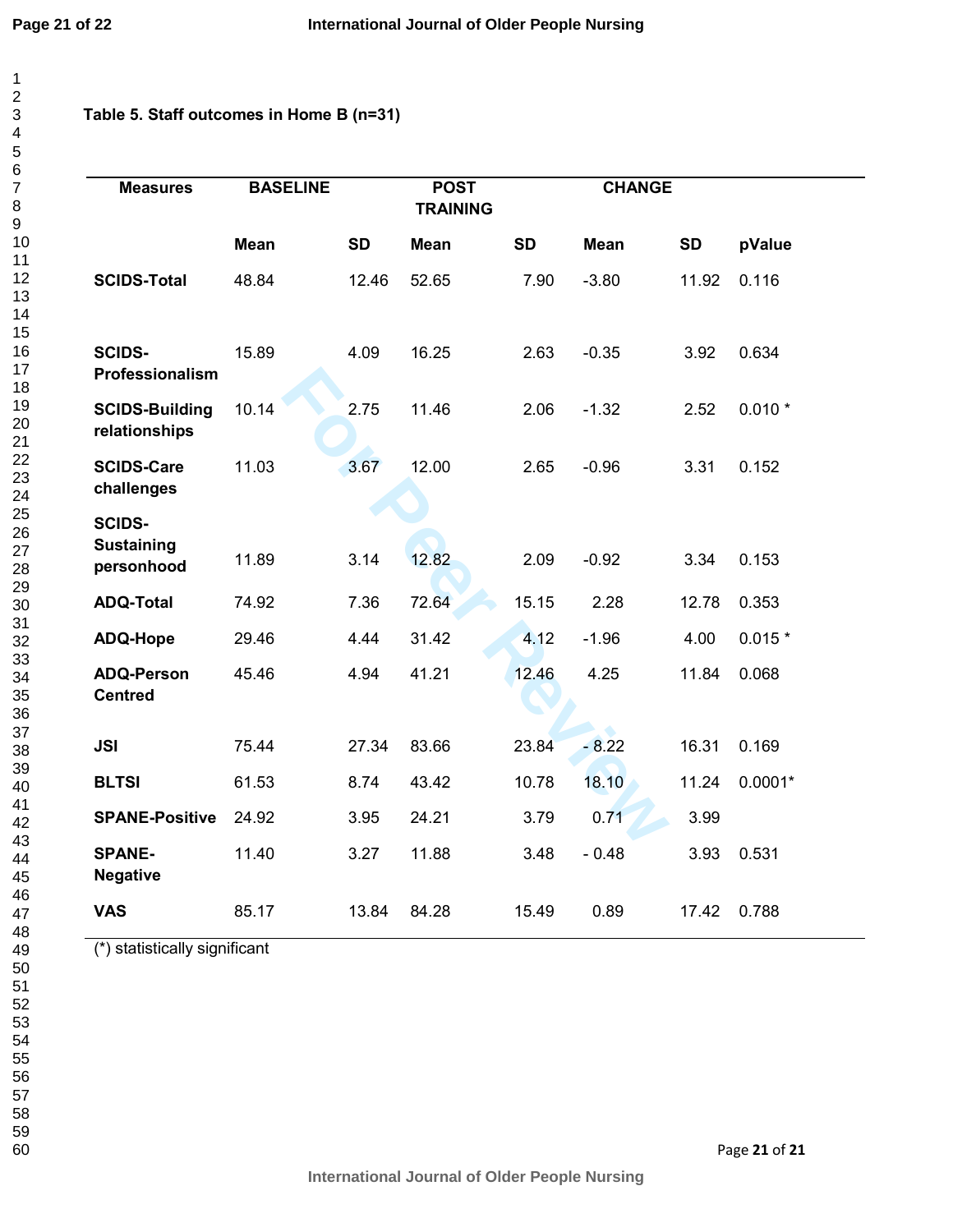$\mathbf{1}$  $\overline{2}$ 3

# **Table 5. Staff outcomes in Home B (n=31)**

| <b>Measures</b>                        | <b>BASELINE</b> |           | <b>POST</b><br><b>TRAINING</b> |           | <b>CHANGE</b> |           |           |
|----------------------------------------|-----------------|-----------|--------------------------------|-----------|---------------|-----------|-----------|
|                                        | <b>Mean</b>     | <b>SD</b> | <b>Mean</b>                    | <b>SD</b> | <b>Mean</b>   | <b>SD</b> | pValue    |
| <b>SCIDS-Total</b>                     | 48.84           | 12.46     | 52.65                          | 7.90      | $-3.80$       | 11.92     | 0.116     |
| <b>SCIDS-</b><br>Professionalism       | 15.89           | 4.09      | 16.25                          | 2.63      | $-0.35$       | 3.92      | 0.634     |
| <b>SCIDS-Building</b><br>relationships | 10.14           | 2.75      | 11.46                          | 2.06      | $-1.32$       | 2.52      | $0.010*$  |
| <b>SCIDS-Care</b><br>challenges        | 11.03           | 3.67      | 12.00                          | 2.65      | $-0.96$       | 3.31      | 0.152     |
| <b>SCIDS-</b>                          |                 |           |                                |           |               |           |           |
| <b>Sustaining</b><br>personhood        | 11.89           | 3.14      | 12.82                          | 2.09      | $-0.92$       | 3.34      | 0.153     |
| <b>ADQ-Total</b>                       | 74.92           | 7.36      | 72.64                          | 15.15     | 2.28          | 12.78     | 0.353     |
| <b>ADQ-Hope</b>                        | 29.46           | 4.44      | 31.42                          | 4.12      | $-1.96$       | 4.00      | $0.015*$  |
| <b>ADQ-Person</b><br><b>Centred</b>    | 45.46           | 4.94      | 41.21                          | 12.46     | 4.25          | 11.84     | 0.068     |
| <b>JSI</b>                             | 75.44           | 27.34     | 83.66                          | 23.84     | $-8.22$       | 16.31     | 0.169     |
| <b>BLTSI</b>                           | 61.53           | 8.74      | 43.42                          | 10.78     | 18.10         | 11.24     | $0.0001*$ |
| <b>SPANE-Positive</b>                  | 24.92           | 3.95      | 24.21                          | 3.79      | 0.71          | 3.99      |           |
| <b>SPANE-</b><br><b>Negative</b>       | 11.40           | 3.27      | 11.88                          | 3.48      | $-0.48$       | 3.93      | 0.531     |
| <b>VAS</b>                             | 85.17           | 13.84     | 84.28                          | 15.49     | 0.89          | 17.42     | 0.788     |

(\*) statistically significant